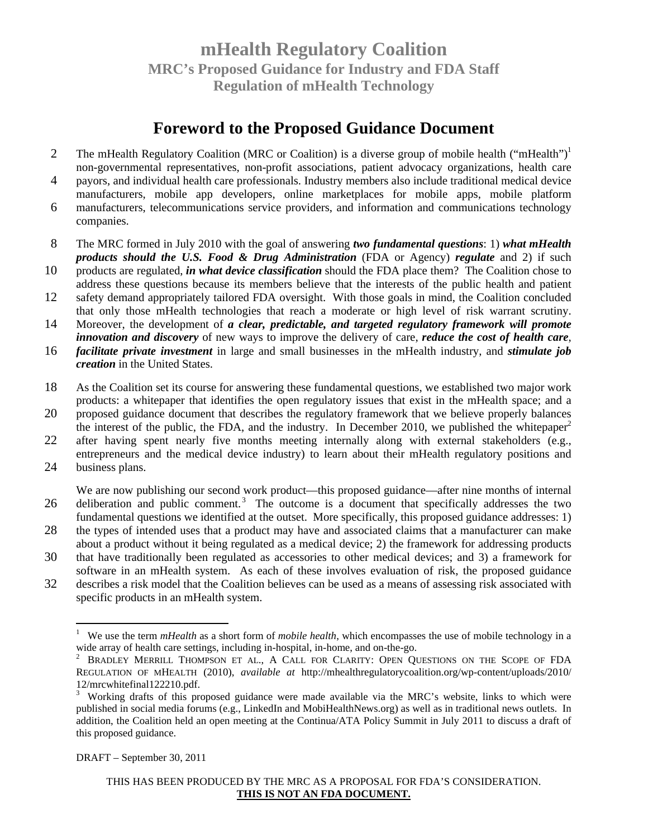### **Foreword to the Proposed Guidance Document**

- The mHealth Regulatory Coalition (MRC or Coalition) is a diverse group of mobile health ("mHealth")<sup>1</sup> 2 non-governmental representatives, non-profit associations, patient advocacy organizations, health care
- 4 payors, and individual health care professionals. Industry members also include traditional medical device manufacturers, mobile app developers, online marketplaces for mobile apps, mobile platform
- 6 manufacturers, telecommunications service providers, and information and communications technology companies.
- 8 The MRC formed in July 2010 with the goal of answering *two fundamental questions*: 1) *what mHealth products should the U.S. Food & Drug Administration* (FDA or Agency) *regulate* and 2) if such
- 10 products are regulated, *in what device classification* should the FDA place them? The Coalition chose to address these questions because its members believe that the interests of the public health and patient
- 12 safety demand appropriately tailored FDA oversight. With those goals in mind, the Coalition concluded that only those mHealth technologies that reach a moderate or high level of risk warrant scrutiny.
- 14 Moreover, the development of *a clear, predictable, and targeted regulatory framework will promote innovation and discovery* of new ways to improve the delivery of care, *reduce the cost of health care*,
- 16 *facilitate private investment* in large and small businesses in the mHealth industry, and *stimulate job creation* in the United States.
- 18 As the Coalition set its course for answering these fundamental questions, we established two major work products: a whitepaper that identifies the open regulatory issues that exist in the mHealth space; and a
- 20 proposed guidance document that describes the regulatory framework that we believe properly balances the interest of the public, the FDA, and the industry. In December 2010, we published the white paper<sup>2</sup>
- 22 after having spent nearly five months meeting internally along with external stakeholders (e.g., entrepreneurs and the medical device industry) to learn about their mHealth regulatory positions and
- 24 business plans.

We are now publishing our second work product—this proposed guidance—after nine months of internal 26 deliberation and public comment.<sup>3</sup> The outcome is a document that specifically addresses the two fundamental questions we identified at the outset. More specifically, this proposed guidance addresses: 1)

- 28 the types of intended uses that a product may have and associated claims that a manufacturer can make about a product without it being regulated as a medical device; 2) the framework for addressing products
- 30 that have traditionally been regulated as accessories to other medical devices; and 3) a framework for software in an mHealth system. As each of these involves evaluation of risk, the proposed guidance
- 32 describes a risk model that the Coalition believes can be used as a means of assessing risk associated with specific products in an mHealth system.

DRAFT – September 30, 2011

<sup>1</sup> We use the term *mHealth* as a short form of *mobile health*, which encompasses the use of mobile technology in a wide array of health care settings, including in-hospital, in-home, and on-the-go.

<sup>&</sup>lt;sup>2</sup> BRADLEY MERRILL THOMPSON ET AL., A CALL FOR CLARITY: OPEN QUESTIONS ON THE SCOPE OF FDA REGULATION OF MHEALTH (2010), *available at* http://mhealthregulatorycoalition.org/wp-content/uploads/2010/ 12/mrcwhitefinal122210.pdf.

<sup>3</sup> Working drafts of this proposed guidance were made available via the MRC's website, links to which were published in social media forums (e.g., LinkedIn and MobiHealthNews.org) as well as in traditional news outlets. In addition, the Coalition held an open meeting at the Continua/ATA Policy Summit in July 2011 to discuss a draft of this proposed guidance.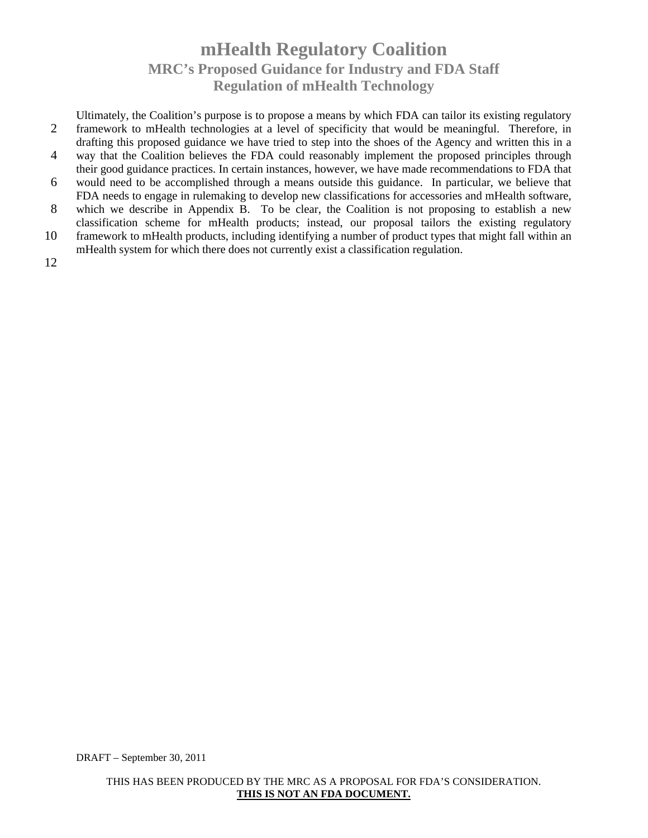Ultimately, the Coalition's purpose is to propose a means by which FDA can tailor its existing regulatory 2 framework to mHealth technologies at a level of specificity that would be meaningful. Therefore, in drafting this proposed guidance we have tried to step into the shoes of the Agency and written this in a 4 way that the Coalition believes the FDA could reasonably implement the proposed principles through their good guidance practices. In certain instances, however, we have made recommendations to FDA that 6 would need to be accomplished through a means outside this guidance. In particular, we believe that FDA needs to engage in rulemaking to develop new classifications for accessories and mHealth software, 8 which we describe in Appendix B. To be clear, the Coalition is not proposing to establish a new

classification scheme for mHealth products; instead, our proposal tailors the existing regulatory 10 framework to mHealth products, including identifying a number of product types that might fall within an

mHealth system for which there does not currently exist a classification regulation.

12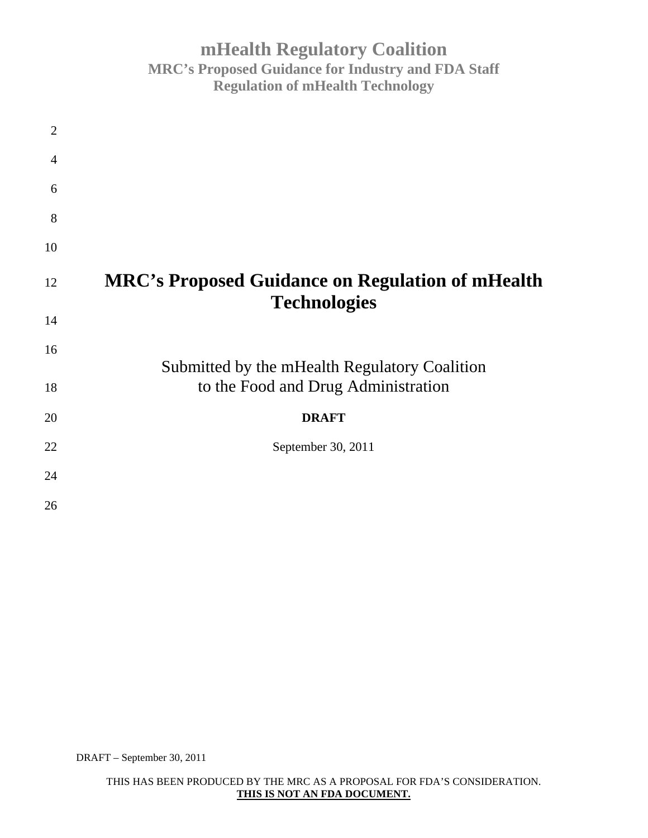| $\overline{2}$ |                                                                                |
|----------------|--------------------------------------------------------------------------------|
| $\overline{4}$ |                                                                                |
| 6              |                                                                                |
| 8              |                                                                                |
| 10             |                                                                                |
| 12             | <b>MRC's Proposed Guidance on Regulation of mHealth</b><br><b>Technologies</b> |
| 14             |                                                                                |
| 16             | Submitted by the mHealth Regulatory Coalition                                  |
| 18             | to the Food and Drug Administration                                            |
| 20             | <b>DRAFT</b>                                                                   |
| 22             | September 30, 2011                                                             |
| 24             |                                                                                |
| 26             |                                                                                |

DRAFT – September 30, 2011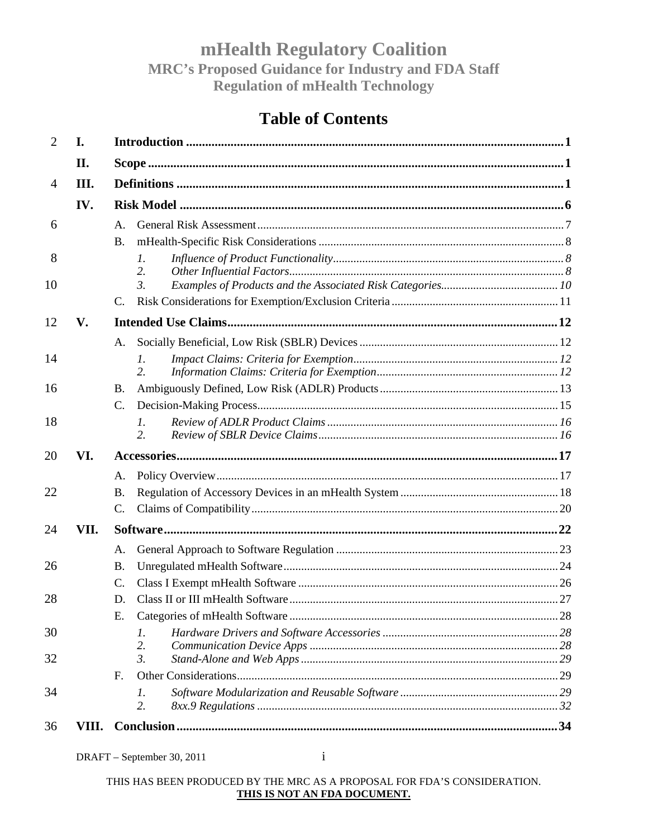# **Table of Contents**

| $\mathcal{D}_{\cdot}$ | I.    |                       |  |  |  |
|-----------------------|-------|-----------------------|--|--|--|
|                       | II.   |                       |  |  |  |
| $\overline{4}$        | III.  |                       |  |  |  |
|                       | IV.   |                       |  |  |  |
| 6                     |       | A.                    |  |  |  |
|                       |       | <b>B.</b>             |  |  |  |
| 8                     |       | $\mathcal{I}$ .<br>2. |  |  |  |
| 10                    |       | $\mathfrak{Z}$ .      |  |  |  |
|                       |       | C.                    |  |  |  |
| 12                    | V.    |                       |  |  |  |
|                       |       | A.                    |  |  |  |
| 14                    |       | 1.<br>2.              |  |  |  |
| 16                    |       | <b>B.</b>             |  |  |  |
|                       |       | C.                    |  |  |  |
| 18                    |       | $\mathcal{I}$ .<br>2. |  |  |  |
| 20                    | VI.   |                       |  |  |  |
|                       |       | A.                    |  |  |  |
| 22                    |       | В.                    |  |  |  |
|                       |       | C.                    |  |  |  |
| 24                    | VII.  |                       |  |  |  |
|                       |       | A.                    |  |  |  |
| 26                    |       | <b>B.</b>             |  |  |  |
|                       |       | C.                    |  |  |  |
| 28                    |       | D.                    |  |  |  |
|                       |       | Е.                    |  |  |  |
| 30                    |       | I.                    |  |  |  |
|                       |       | 2.                    |  |  |  |
| 32                    |       | $\mathfrak{Z}$ .      |  |  |  |
|                       |       | $F_{\cdot}$           |  |  |  |
| 34                    |       | 1.<br>2.              |  |  |  |
| 36                    | VIII. |                       |  |  |  |

#### DRAFT – September 30, 2011

 $\mathbf{i}$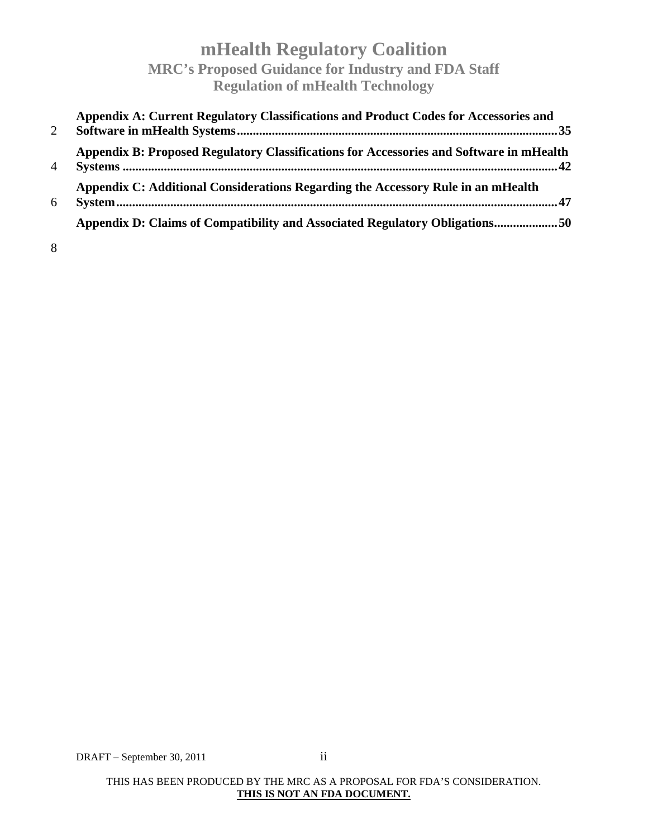| 2              | Appendix A: Current Regulatory Classifications and Product Codes for Accessories and    |
|----------------|-----------------------------------------------------------------------------------------|
| $\overline{A}$ | Appendix B: Proposed Regulatory Classifications for Accessories and Software in mHealth |
| 6              | Appendix C: Additional Considerations Regarding the Accessory Rule in an mHealth        |
|                | Appendix D: Claims of Compatibility and Associated Regulatory Obligations50             |

8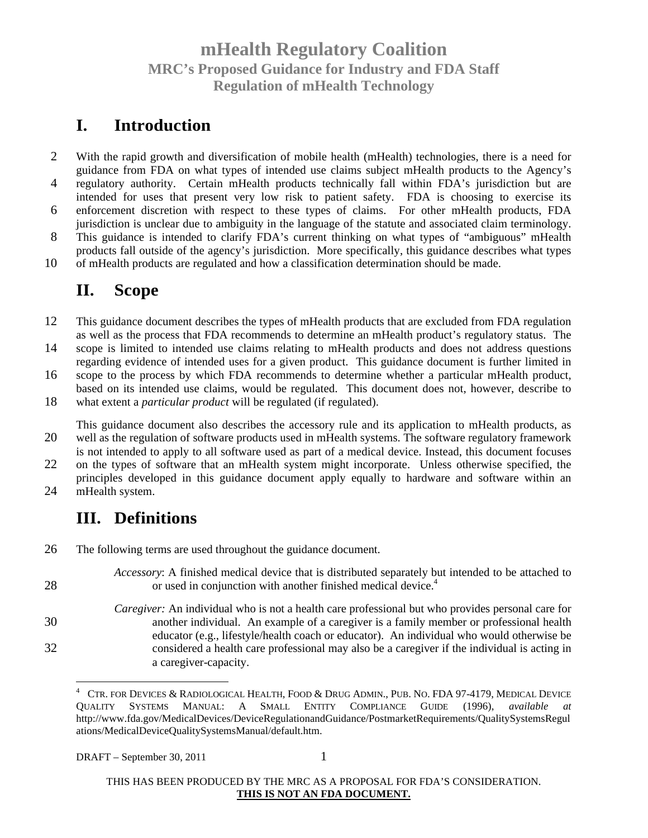### **I. Introduction**

2 With the rapid growth and diversification of mobile health (mHealth) technologies, there is a need for guidance from FDA on what types of intended use claims subject mHealth products to the Agency's 4 regulatory authority. Certain mHealth products technically fall within FDA's jurisdiction but are intended for uses that present very low risk to patient safety. FDA is choosing to exercise its 6 enforcement discretion with respect to these types of claims. For other mHealth products, FDA jurisdiction is unclear due to ambiguity in the language of the statute and associated claim terminology. 8 This guidance is intended to clarify FDA's current thinking on what types of "ambiguous" mHealth products fall outside of the agency's jurisdiction. More specifically, this guidance describes what types

10 of mHealth products are regulated and how a classification determination should be made.

### **II. Scope**

12 This guidance document describes the types of mHealth products that are excluded from FDA regulation as well as the process that FDA recommends to determine an mHealth product's regulatory status. The

14 scope is limited to intended use claims relating to mHealth products and does not address questions regarding evidence of intended uses for a given product. This guidance document is further limited in

16 scope to the process by which FDA recommends to determine whether a particular mHealth product, based on its intended use claims, would be regulated. This document does not, however, describe to

18 what extent a *particular product* will be regulated (if regulated).

This guidance document also describes the accessory rule and its application to mHealth products, as 20 well as the regulation of software products used in mHealth systems. The software regulatory framework is not intended to apply to all software used as part of a medical device. Instead, this document focuses

22 on the types of software that an mHealth system might incorporate. Unless otherwise specified, the principles developed in this guidance document apply equally to hardware and software within an

24 mHealth system.

28

### **III. Definitions**

- 26 The following terms are used throughout the guidance document.
	- *Accessory*: A finished medical device that is distributed separately but intended to be attached to or used in conjunction with another finished medical device.<sup>4</sup>
- *Caregiver:* An individual who is not a health care professional but who provides personal care for 30 another individual. An example of a caregiver is a family member or professional health educator (e.g., lifestyle/health coach or educator). An individual who would otherwise be 32 considered a health care professional may also be a caregiver if the individual is acting in a caregiver-capacity.

<sup>4</sup> CTR. FOR DEVICES & RADIOLOGICAL HEALTH, FOOD & DRUG ADMIN., PUB. NO. FDA 97-4179, MEDICAL DEVICE QUALITY SYSTEMS MANUAL: A SMALL ENTITY COMPLIANCE GUIDE (1996), *available at*  http://www.fda.gov/MedicalDevices/DeviceRegulationandGuidance/PostmarketRequirements/QualitySystemsRegul ations/MedicalDeviceQualitySystemsManual/default.htm.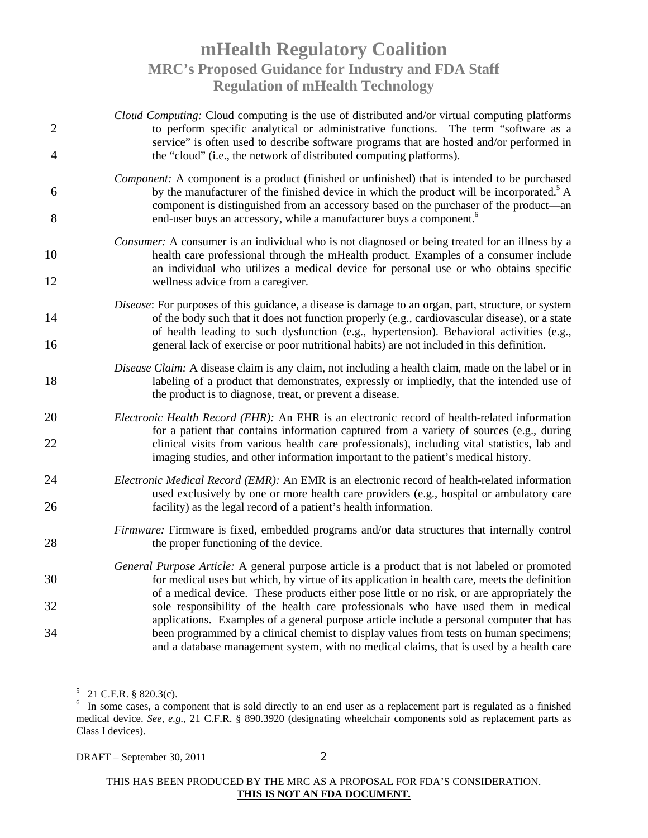| $\overline{2}$ | Cloud Computing: Cloud computing is the use of distributed and/or virtual computing platforms<br>to perform specific analytical or administrative functions. The term "software as a<br>service" is often used to describe software programs that are hosted and/or performed in                      |
|----------------|-------------------------------------------------------------------------------------------------------------------------------------------------------------------------------------------------------------------------------------------------------------------------------------------------------|
| $\overline{4}$ | the "cloud" (i.e., the network of distributed computing platforms).                                                                                                                                                                                                                                   |
| 6              | <i>Component:</i> A component is a product (finished or unfinished) that is intended to be purchased<br>by the manufacturer of the finished device in which the product will be incorporated. <sup>5</sup> A<br>component is distinguished from an accessory based on the purchaser of the product—an |
| 8              | end-user buys an accessory, while a manufacturer buys a component. <sup>6</sup>                                                                                                                                                                                                                       |
| 10             | <i>Consumer:</i> A consumer is an individual who is not diagnosed or being treated for an illness by a<br>health care professional through the mHealth product. Examples of a consumer include<br>an individual who utilizes a medical device for personal use or who obtains specific                |
| 12             | wellness advice from a caregiver.                                                                                                                                                                                                                                                                     |
| 14             | Disease: For purposes of this guidance, a disease is damage to an organ, part, structure, or system<br>of the body such that it does not function properly (e.g., cardiovascular disease), or a state<br>of health leading to such dysfunction (e.g., hypertension). Behavioral activities (e.g.,     |
| 16             | general lack of exercise or poor nutritional habits) are not included in this definition.                                                                                                                                                                                                             |
| 18             | Disease Claim: A disease claim is any claim, not including a health claim, made on the label or in<br>labeling of a product that demonstrates, expressly or impliedly, that the intended use of<br>the product is to diagnose, treat, or prevent a disease.                                           |
| 20             | Electronic Health Record (EHR): An EHR is an electronic record of health-related information<br>for a patient that contains information captured from a variety of sources (e.g., during                                                                                                              |
| 22             | clinical visits from various health care professionals), including vital statistics, lab and<br>imaging studies, and other information important to the patient's medical history.                                                                                                                    |
| 24             | Electronic Medical Record (EMR): An EMR is an electronic record of health-related information<br>used exclusively by one or more health care providers (e.g., hospital or ambulatory care                                                                                                             |
| 26             | facility) as the legal record of a patient's health information.                                                                                                                                                                                                                                      |
| 28             | Firmware: Firmware is fixed, embedded programs and/or data structures that internally control<br>the proper functioning of the device.                                                                                                                                                                |
| 30             | General Purpose Article: A general purpose article is a product that is not labeled or promoted<br>for medical uses but which, by virtue of its application in health care, meets the definition<br>of a medical device. These products either pose little or no risk, or are appropriately the       |
| 32             | sole responsibility of the health care professionals who have used them in medical                                                                                                                                                                                                                    |
| 34             | applications. Examples of a general purpose article include a personal computer that has<br>been programmed by a clinical chemist to display values from tests on human specimens;<br>and a database management system, with no medical claims, that is used by a health care                         |

 $5$  21 C.F.R. § 820.3(c).

DRAFT – September 30, 2011  $\qquad \qquad$  2

<sup>&</sup>lt;sup>6</sup> In some cases, a component that is sold directly to an end user as a replacement part is regulated as a finished medical device. *See, e.g.*, 21 C.F.R. § 890.3920 (designating wheelchair components sold as replacement parts as Class I devices).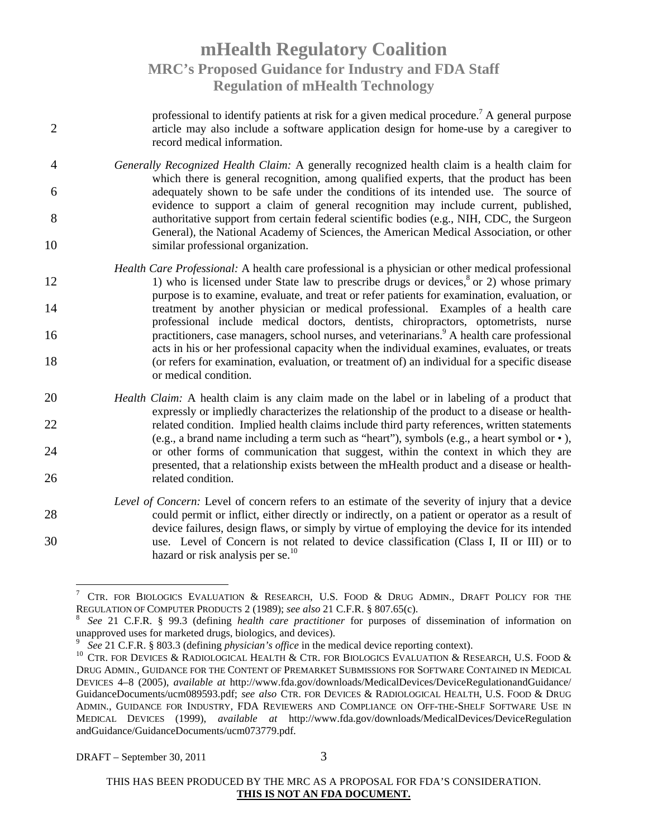professional to identify patients at risk for a given medical procedure.<sup>7</sup> A general purpose 2 article may also include a software application design for home-use by a caregiver to record medical information. 4 *Generally Recognized Health Claim:* A generally recognized health claim is a health claim for which there is general recognition, among qualified experts, that the product has been 6 adequately shown to be safe under the conditions of its intended use. The source of evidence to support a claim of general recognition may include current, published, 8 authoritative support from certain federal scientific bodies (e.g., NIH, CDC, the Surgeon General), the National Academy of Sciences, the American Medical Association, or other 10 similar professional organization. *Health Care Professional:* A health care professional is a physician or other medical professional 12 1) who is licensed under State law to prescribe drugs or devices,<sup>8</sup> or 2) whose primary purpose is to examine, evaluate, and treat or refer patients for examination, evaluation, or 14 treatment by another physician or medical professional. Examples of a health care professional include medical doctors, dentists, chiropractors, optometrists, nurse 16 **health care practitioners**, case managers, school nurses, and veterinarians.<sup>9</sup> A health care professional acts in his or her professional capacity when the individual examines, evaluates, or treats 18 (or refers for examination, evaluation, or treatment of) an individual for a specific disease or medical condition. 20 *Health Claim:* A health claim is any claim made on the label or in labeling of a product that expressly or impliedly characterizes the relationship of the product to a disease or health-22 related condition. Implied health claims include third party references, written statements (e.g., a brand name including a term such as "heart"), symbols (e.g., a heart symbol or •), 24 or other forms of communication that suggest, within the context in which they are presented, that a relationship exists between the mHealth product and a disease or health-26 related condition. *Level of Concern:* Level of concern refers to an estimate of the severity of injury that a device 28 could permit or inflict, either directly or indirectly, on a patient or operator as a result of device failures, design flaws, or simply by virtue of employing the device for its intended 30 use. Level of Concern is not related to device classification (Class I, II or III) or to hazard or risk analysis per se. $^{10}$ 

<sup>7</sup> CTR. FOR BIOLOGICS EVALUATION & RESEARCH, U.S. FOOD & DRUG ADMIN., DRAFT POLICY FOR THE REGULATION OF COMPUTER PRODUCTS 2 (1989); *see also* 21 C.F.R. § 807.65(c).

<sup>8</sup> *See* 21 C.F.R. § 99.3 (defining *health care practitioner* for purposes of dissemination of information on unapproved uses for marketed drugs, biologics, and devices).

<sup>9</sup> *See* 21 C.F.R. § 803.3 (defining *physician's office* in the medical device reporting context).

<sup>&</sup>lt;sup>10</sup> CTR. FOR DEVICES & RADIOLOGICAL HEALTH & CTR. FOR BIOLOGICS EVALUATION & RESEARCH, U.S. FOOD & DRUG ADMIN., GUIDANCE FOR THE CONTENT OF PREMARKET SUBMISSIONS FOR SOFTWARE CONTAINED IN MEDICAL DEVICES 4–8 (2005), *available at* http://www.fda.gov/downloads/MedicalDevices/DeviceRegulationandGuidance/ GuidanceDocuments/ucm089593.pdf; *see also* CTR. FOR DEVICES & RADIOLOGICAL HEALTH, U.S. FOOD & DRUG ADMIN., GUIDANCE FOR INDUSTRY, FDA REVIEWERS AND COMPLIANCE ON OFF-THE-SHELF SOFTWARE USE IN MEDICAL DEVICES (1999), *available at* http://www.fda.gov/downloads/MedicalDevices/DeviceRegulation andGuidance/GuidanceDocuments/ucm073779.pdf.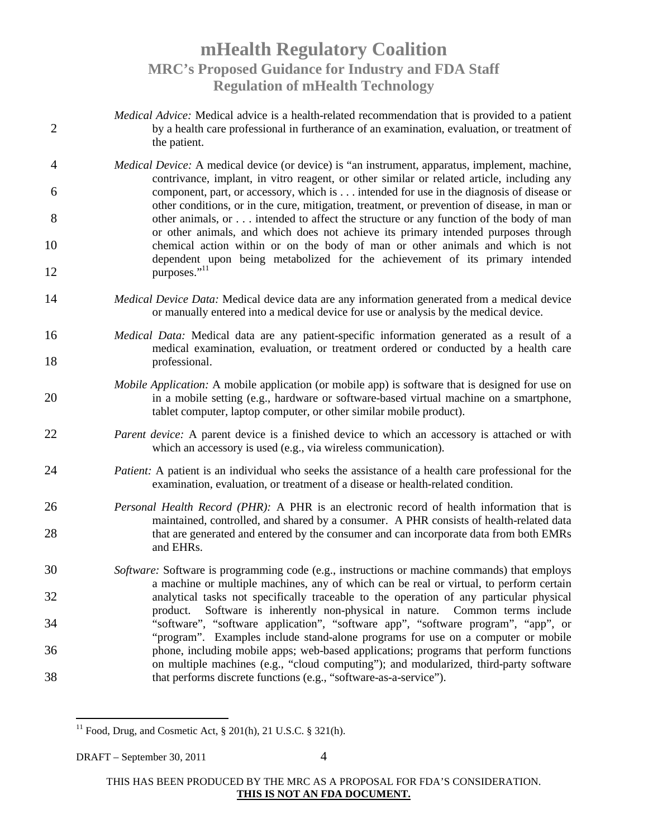- *Medical Advice:* Medical advice is a health-related recommendation that is provided to a patient 2 by a health care professional in furtherance of an examination, evaluation, or treatment of the patient.
- 4 *Medical Device:* A medical device (or device) is "an instrument, apparatus, implement, machine, contrivance, implant, in vitro reagent, or other similar or related article, including any 6 component, part, or accessory, which is . . . intended for use in the diagnosis of disease or other conditions, or in the cure, mitigation, treatment, or prevention of disease, in man or 8 better 8 other animals, or . . . intended to affect the structure or any function of the body of man or other animals, and which does not achieve its primary intended purposes through 10 chemical action within or on the body of man or other animals and which is not dependent upon being metabolized for the achievement of its primary intended 12 purposes."<sup>11</sup>
- 14 *Medical Device Data:* Medical device data are any information generated from a medical device or manually entered into a medical device for use or analysis by the medical device.
- 16 *Medical Data:* Medical data are any patient-specific information generated as a result of a medical examination, evaluation, or treatment ordered or conducted by a health care 18 professional.
- *Mobile Application:* A mobile application (or mobile app) is software that is designed for use on 20 in a mobile setting (e.g., hardware or software-based virtual machine on a smartphone, tablet computer, laptop computer, or other similar mobile product).
- 22 *Parent device:* A parent device is a finished device to which an accessory is attached or with which an accessory is used (e.g., via wireless communication).
- 24 *Patient:* A patient is an individual who seeks the assistance of a health care professional for the examination, evaluation, or treatment of a disease or health-related condition.
- 26 *Personal Health Record (PHR):* A PHR is an electronic record of health information that is maintained, controlled, and shared by a consumer. A PHR consists of health-related data 28 that are generated and entered by the consumer and can incorporate data from both EMRs and EHRs.
- 30 *Software:* Software is programming code (e.g., instructions or machine commands) that employs a machine or multiple machines, any of which can be real or virtual, to perform certain 32 analytical tasks not specifically traceable to the operation of any particular physical product. Software is inherently non-physical in nature. Common terms include 34 "software", "software application", "software app", "software program", "app", or "program". Examples include stand-alone programs for use on a computer or mobile 36 phone, including mobile apps; web-based applications; programs that perform functions on multiple machines (e.g., "cloud computing"); and modularized, third-party software 38 that performs discrete functions (e.g., "software-as-a-service").

<sup>11</sup> Food, Drug, and Cosmetic Act,  $\S 201(h)$ , 21 U.S.C.  $\S 321(h)$ .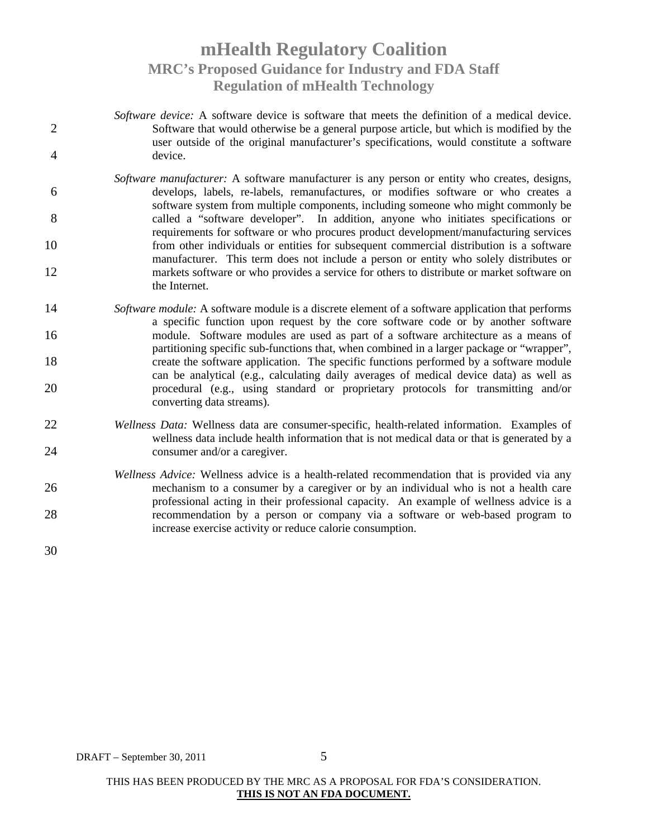- *Software device:* A software device is software that meets the definition of a medical device. 2 Software that would otherwise be a general purpose article, but which is modified by the user outside of the original manufacturer's specifications, would constitute a software 4 device.
- *Software manufacturer:* A software manufacturer is any person or entity who creates, designs, 6 develops, labels, re-labels, remanufactures, or modifies software or who creates a software system from multiple components, including someone who might commonly be 8 called a "software developer". In addition, anyone who initiates specifications or requirements for software or who procures product development/manufacturing services 10 from other individuals or entities for subsequent commercial distribution is a software manufacturer. This term does not include a person or entity who solely distributes or 12 markets software or who provides a service for others to distribute or market software on the Internet.
- 14 *Software module:* A software module is a discrete element of a software application that performs a specific function upon request by the core software code or by another software 16 module. Software modules are used as part of a software architecture as a means of partitioning specific sub-functions that, when combined in a larger package or "wrapper", 18 create the software application. The specific functions performed by a software module can be analytical (e.g., calculating daily averages of medical device data) as well as 20 procedural (e.g., using standard or proprietary protocols for transmitting and/or converting data streams).
- 22 *Wellness Data:* Wellness data are consumer-specific, health-related information. Examples of wellness data include health information that is not medical data or that is generated by a 24 consumer and/or a caregiver.
- *Wellness Advice:* Wellness advice is a health-related recommendation that is provided via any 26 mechanism to a consumer by a caregiver or by an individual who is not a health care professional acting in their professional capacity. An example of wellness advice is a 28 recommendation by a person or company via a software or web-based program to increase exercise activity or reduce calorie consumption.

30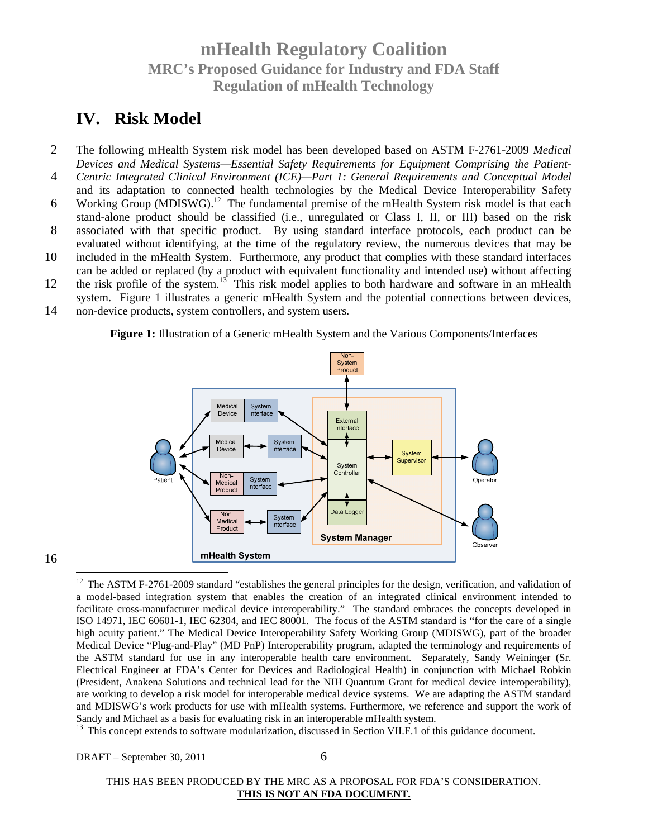### **IV. Risk Model**

- 2 The following mHealth System risk model has been developed based on ASTM F-2761-2009 *Medical Devices and Medical Systems—Essential Safety Requirements for Equipment Comprising the Patient-*
- 4 *Centric Integrated Clinical Environment (ICE)—Part 1: General Requirements and Conceptual Model* and its adaptation to connected health technologies by the Medical Device Interoperability Safety
- 6 Working Group (MDISWG).<sup>12</sup> The fundamental premise of the mHealth System risk model is that each stand-alone product should be classified (i.e., unregulated or Class I, II, or III) based on the risk
- 8 associated with that specific product. By using standard interface protocols, each product can be evaluated without identifying, at the time of the regulatory review, the numerous devices that may be
- 10 included in the mHealth System. Furthermore, any product that complies with these standard interfaces can be added or replaced (by a product with equivalent functionality and intended use) without affecting
- 12 the risk profile of the system.<sup>13</sup> This risk model applies to both hardware and software in an mHealth
- system. Figure 1 illustrates a generic mHealth System and the potential connections between devices, 14 non-device products, system controllers, and system users.

**Figure 1:** Illustration of a Generic mHealth System and the Various Components/Interfaces



16

 $12$  The ASTM F-2761-2009 standard "establishes the general principles for the design, verification, and validation of a model-based integration system that enables the creation of an integrated clinical environment intended to facilitate cross-manufacturer medical device interoperability." The standard embraces the concepts developed in ISO 14971, IEC 60601-1, IEC 62304, and IEC 80001. The focus of the ASTM standard is "for the care of a single high acuity patient." The Medical Device Interoperability Safety Working Group (MDISWG), part of the broader Medical Device "Plug-and-Play" (MD PnP) Interoperability program, adapted the terminology and requirements of the ASTM standard for use in any interoperable health care environment. Separately, Sandy Weininger (Sr. Electrical Engineer at FDA's Center for Devices and Radiological Health) in conjunction with Michael Robkin (President, Anakena Solutions and technical lead for the NIH Quantum Grant for medical device interoperability), are working to develop a risk model for interoperable medical device systems. We are adapting the ASTM standard and MDISWG's work products for use with mHealth systems. Furthermore, we reference and support the work of Sandy and Michael as a basis for evaluating risk in an interoperable mHealth system.

<sup>13</sup> This concept extends to software modularization, discussed in Section VII.F.1 of this guidance document.

DRAFT – September 30, 2011 6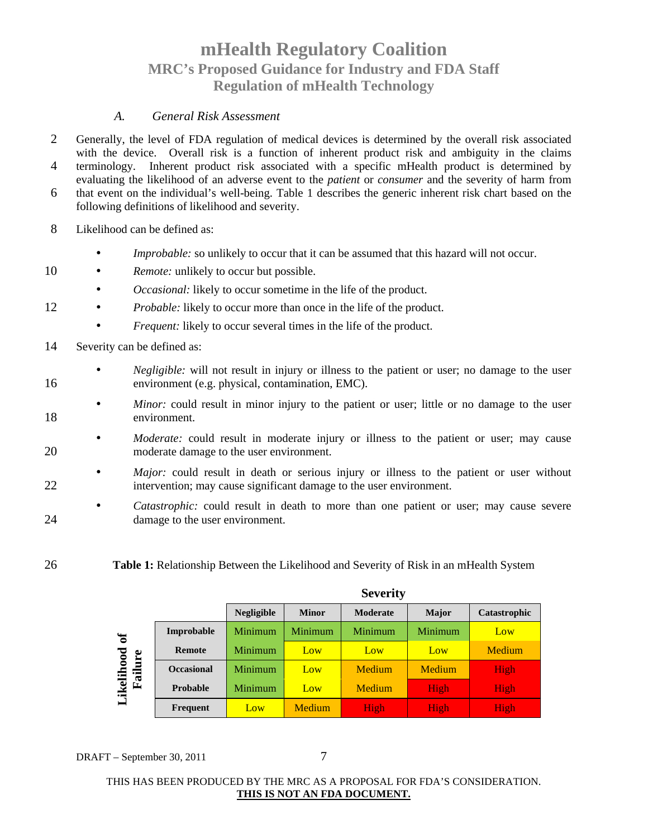#### *A. General Risk Assessment*

- 2 Generally, the level of FDA regulation of medical devices is determined by the overall risk associated with the device. Overall risk is a function of inherent product risk and ambiguity in the claims
- 4 terminology. Inherent product risk associated with a specific mHealth product is determined by evaluating the likelihood of an adverse event to the *patient* or *consumer* and the severity of harm from
- 6 that event on the individual's well-being. Table 1 describes the generic inherent risk chart based on the following definitions of likelihood and severity.

8 Likelihood can be defined as:

- *Improbable:* so unlikely to occur that it can be assumed that this hazard will not occur.
- 10 *Remote:* unlikely to occur but possible.
	- *Occasional:* likely to occur sometime in the life of the product.
- 12 *Probable:* likely to occur more than once in the life of the product.
	- *Frequent:* likely to occur several times in the life of the product.
- 14 Severity can be defined as:
- *Negligible:* will not result in injury or illness to the patient or user; no damage to the user 16 environment (e.g. physical, contamination, EMC).
- *Minor:* could result in minor injury to the patient or user; little or no damage to the user 18 environment.
- *Moderate:* could result in moderate injury or illness to the patient or user; may cause 20 moderate damage to the user environment.
- *Major*: could result in death or serious injury or illness to the patient or user without 22 intervention; may cause significant damage to the user environment.
- *Catastrophic:* could result in death to more than one patient or user; may cause severe 24 damage to the user environment.
- 26 **Table 1:** Relationship Between the Likelihood and Severity of Risk in an mHealth System

|              |                   | Severity          |              |                 |         |              |
|--------------|-------------------|-------------------|--------------|-----------------|---------|--------------|
|              |                   | <b>Negligible</b> | <b>Minor</b> | <b>Moderate</b> | Major   | Catastrophic |
| $\mathbf{a}$ | Improbable        | <b>Minimum</b>    | Minimum      | <b>Minimum</b>  | Minimum | Low          |
|              | Remote            | Minimum           | Low          | Low             | Low     | Medium       |
| Failure      | <b>Occasional</b> | <b>Minimum</b>    | Low          | Medium          | Medium  | High         |
| Likelihood   | <b>Probable</b>   | Minimum           | Low          | Medium          | High    | High         |
|              | Frequent          | Low               | Medium       | High            | High    | High         |

**Severity**

DRAFT – September 30, 2011 7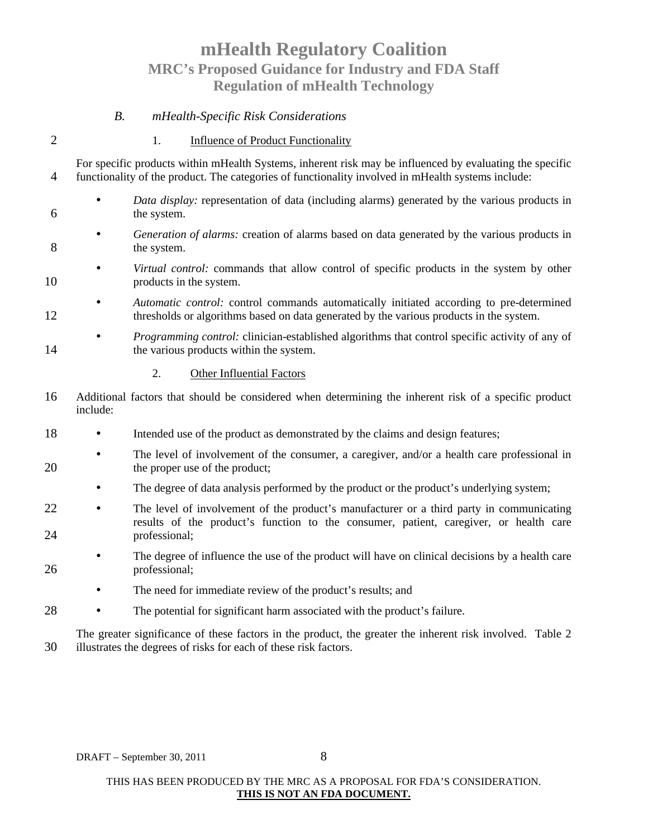#### *B. mHealth-Specific Risk Considerations*

#### 2 1. Influence of Product Functionality

For specific products within mHealth Systems, inherent risk may be influenced by evaluating the specific 4 functionality of the product. The categories of functionality involved in mHealth systems include:

- *Data display:* representation of data (including alarms) generated by the various products in 6 the system.
- *Generation of alarms:* creation of alarms based on data generated by the various products in 8 the system.
- *Virtual control:* commands that allow control of specific products in the system by other 10 products in the system.

• *Automatic control:* control commands automatically initiated according to pre-determined 12 thresholds or algorithms based on data generated by the various products in the system.

• *Programming control:* clinician-established algorithms that control specific activity of any of 14 the various products within the system.

- 2. Other Influential Factors
- 16 Additional factors that should be considered when determining the inherent risk of a specific product include:
- 18 Intended use of the product as demonstrated by the claims and design features;
- The level of involvement of the consumer, a caregiver, and/or a health care professional in 20 the proper use of the product;
	- The degree of data analysis performed by the product or the product's underlying system;
- 22 The level of involvement of the product's manufacturer or a third party in communicating results of the product's function to the consumer, patient, caregiver, or health care 24 professional;
- The degree of influence the use of the product will have on clinical decisions by a health care 26 professional;
	- The need for immediate review of the product's results; and
- 28 The potential for significant harm associated with the product's failure.

The greater significance of these factors in the product, the greater the inherent risk involved. Table 2 30 illustrates the degrees of risks for each of these risk factors.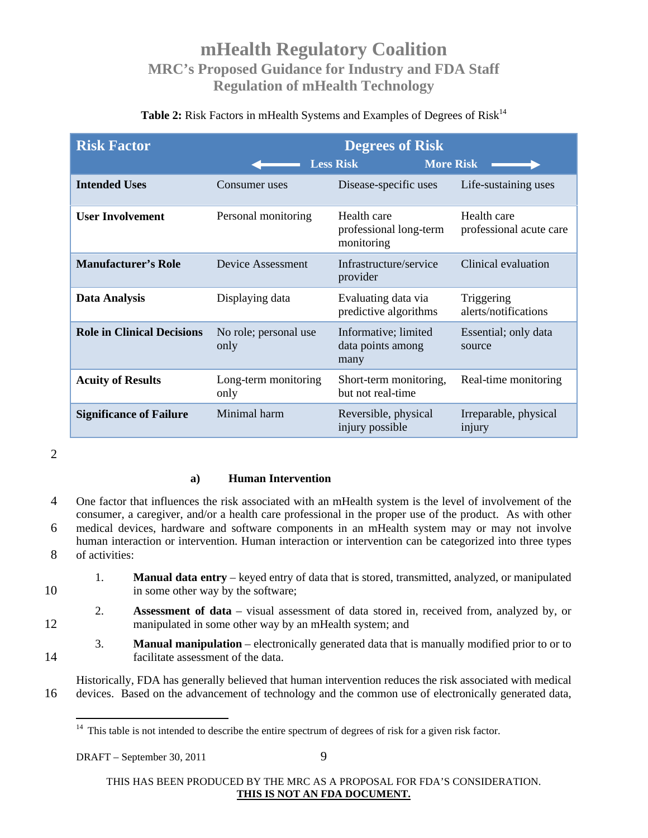### Table 2: Risk Factors in mHealth Systems and Examples of Degrees of Risk<sup>14</sup>

| <b>Risk Factor</b>                | <b>Degrees of Risk</b><br><b>Less Risk</b><br><b>More Risk</b> |                                                     |                                        |
|-----------------------------------|----------------------------------------------------------------|-----------------------------------------------------|----------------------------------------|
| <b>Intended Uses</b>              | Consumer uses                                                  | Disease-specific uses                               | Life-sustaining uses                   |
| <b>User Involvement</b>           | Personal monitoring                                            | Health care<br>professional long-term<br>monitoring | Health care<br>professional acute care |
| <b>Manufacturer's Role</b>        | Device Assessment                                              | Infrastructure/service<br>provider                  | Clinical evaluation                    |
| <b>Data Analysis</b>              | Displaying data                                                | Evaluating data via<br>predictive algorithms        | Triggering<br>alerts/notifications     |
| <b>Role in Clinical Decisions</b> | No role; personal use<br>only                                  | Informative; limited<br>data points among<br>many   | Essential; only data<br>source         |
| <b>Acuity of Results</b>          | Long-term monitoring<br>only                                   | Short-term monitoring,<br>but not real-time         | Real-time monitoring                   |
| <b>Significance of Failure</b>    | Minimal harm                                                   | Reversible, physical<br>injury possible             | Irreparable, physical<br>injury        |

2

#### **a) Human Intervention**

4 One factor that influences the risk associated with an mHealth system is the level of involvement of the consumer, a caregiver, and/or a health care professional in the proper use of the product. As with other 6 medical devices, hardware and software components in an mHealth system may or may not involve human interaction or intervention. Human interaction or intervention can be categorized into three types 8 of activities:

- 1. **Manual data entry** keyed entry of data that is stored, transmitted, analyzed, or manipulated 10 in some other way by the software;
- 2. **Assessment of data** visual assessment of data stored in, received from, analyzed by, or 12 manipulated in some other way by an mHealth system; and
- 3. **Manual manipulation** electronically generated data that is manually modified prior to or to 14 facilitate assessment of the data.
- Historically, FDA has generally believed that human intervention reduces the risk associated with medical 16 devices. Based on the advancement of technology and the common use of electronically generated data,

 $14$  This table is not intended to describe the entire spectrum of degrees of risk for a given risk factor.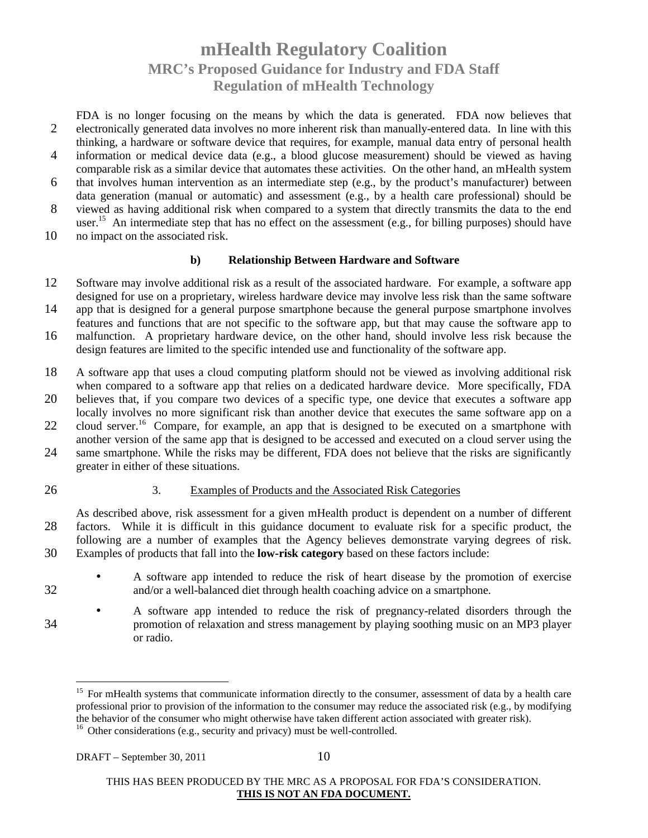FDA is no longer focusing on the means by which the data is generated. FDA now believes that 2 electronically generated data involves no more inherent risk than manually-entered data. In line with this thinking, a hardware or software device that requires, for example, manual data entry of personal health

- 4 information or medical device data (e.g., a blood glucose measurement) should be viewed as having comparable risk as a similar device that automates these activities. On the other hand, an mHealth system
- 6 that involves human intervention as an intermediate step (e.g., by the product's manufacturer) between data generation (manual or automatic) and assessment (e.g., by a health care professional) should be
- 8 viewed as having additional risk when compared to a system that directly transmits the data to the end user.<sup>15</sup> An intermediate step that has no effect on the assessment (e.g., for billing purposes) should have
- 10 no impact on the associated risk.

#### **b) Relationship Between Hardware and Software**

- 12 Software may involve additional risk as a result of the associated hardware. For example, a software app designed for use on a proprietary, wireless hardware device may involve less risk than the same software
- 14 app that is designed for a general purpose smartphone because the general purpose smartphone involves features and functions that are not specific to the software app, but that may cause the software app to
- 16 malfunction. A proprietary hardware device, on the other hand, should involve less risk because the design features are limited to the specific intended use and functionality of the software app.
- 18 A software app that uses a cloud computing platform should not be viewed as involving additional risk when compared to a software app that relies on a dedicated hardware device. More specifically, FDA
- 20 believes that, if you compare two devices of a specific type, one device that executes a software app locally involves no more significant risk than another device that executes the same software app on a
- 22 cloud server.<sup>16</sup> Compare, for example, an app that is designed to be executed on a smartphone with another version of the same app that is designed to be accessed and executed on a cloud server using the
- 24 same smartphone. While the risks may be different, FDA does not believe that the risks are significantly greater in either of these situations.
- 

#### 26 3. Examples of Products and the Associated Risk Categories

As described above, risk assessment for a given mHealth product is dependent on a number of different 28 factors. While it is difficult in this guidance document to evaluate risk for a specific product, the following are a number of examples that the Agency believes demonstrate varying degrees of risk. 30 Examples of products that fall into the **low-risk category** based on these factors include:

- A software app intended to reduce the risk of heart disease by the promotion of exercise 32 and/or a well-balanced diet through health coaching advice on a smartphone.
- A software app intended to reduce the risk of pregnancy-related disorders through the 34 promotion of relaxation and stress management by playing soothing music on an MP3 player or radio.

<sup>&</sup>lt;sup>15</sup> For mHealth systems that communicate information directly to the consumer, assessment of data by a health care professional prior to provision of the information to the consumer may reduce the associated risk (e.g., by modifying the behavior of the consumer who might otherwise have taken different action associated with greater risk).

<sup>&</sup>lt;sup>16</sup> Other considerations (e.g., security and privacy) must be well-controlled.

THIS HAS BEEN PRODUCED BY THE MRC AS A PROPOSAL FOR FDA'S CONSIDERATION. **THIS IS NOT AN FDA DOCUMENT.**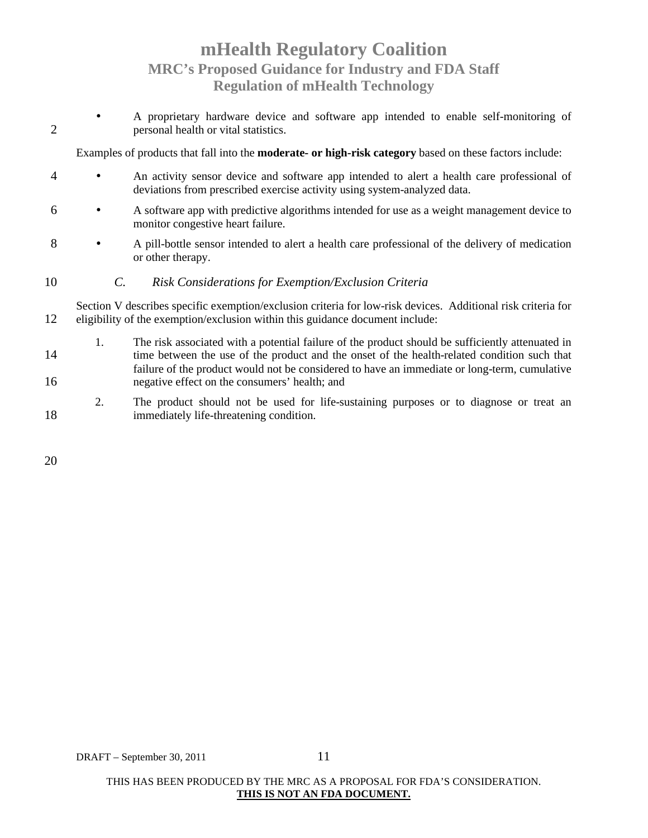• A proprietary hardware device and software app intended to enable self-monitoring of 2 personal health or vital statistics.

Examples of products that fall into the **moderate- or high-risk category** based on these factors include:

- 4 An activity sensor device and software app intended to alert a health care professional of deviations from prescribed exercise activity using system-analyzed data.
- 6 A software app with predictive algorithms intended for use as a weight management device to monitor congestive heart failure.
- 8 A pill-bottle sensor intended to alert a health care professional of the delivery of medication or other therapy.
- 10 *C. Risk Considerations for Exemption/Exclusion Criteria*

Section V describes specific exemption/exclusion criteria for low-risk devices. Additional risk criteria for 12 eligibility of the exemption/exclusion within this guidance document include:

- 1. The risk associated with a potential failure of the product should be sufficiently attenuated in 14 time between the use of the product and the onset of the health-related condition such that failure of the product would not be considered to have an immediate or long-term, cumulative 16 negative effect on the consumers' health; and
- 2. The product should not be used for life-sustaining purposes or to diagnose or treat an 18 immediately life-threatening condition.

20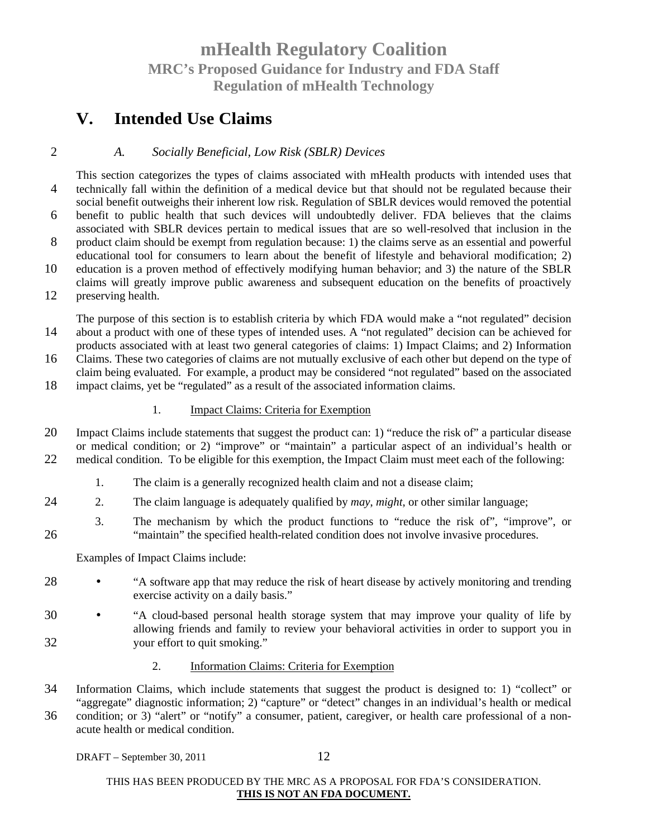### **V. Intended Use Claims**

### 2 *A. Socially Beneficial, Low Risk (SBLR) Devices*

This section categorizes the types of claims associated with mHealth products with intended uses that 4 technically fall within the definition of a medical device but that should not be regulated because their social benefit outweighs their inherent low risk. Regulation of SBLR devices would removed the potential 6 benefit to public health that such devices will undoubtedly deliver. FDA believes that the claims associated with SBLR devices pertain to medical issues that are so well-resolved that inclusion in the 8 product claim should be exempt from regulation because: 1) the claims serve as an essential and powerful educational tool for consumers to learn about the benefit of lifestyle and behavioral modification; 2) 10 education is a proven method of effectively modifying human behavior; and 3) the nature of the SBLR claims will greatly improve public awareness and subsequent education on the benefits of proactively 12 preserving health.

The purpose of this section is to establish criteria by which FDA would make a "not regulated" decision 14 about a product with one of these types of intended uses. A "not regulated" decision can be achieved for products associated with at least two general categories of claims: 1) Impact Claims; and 2) Information

16 Claims. These two categories of claims are not mutually exclusive of each other but depend on the type of claim being evaluated. For example, a product may be considered "not regulated" based on the associated

18 impact claims, yet be "regulated" as a result of the associated information claims.

#### 1. Impact Claims: Criteria for Exemption

- 20 Impact Claims include statements that suggest the product can: 1) "reduce the risk of" a particular disease or medical condition; or 2) "improve" or "maintain" a particular aspect of an individual's health or 22 medical condition. To be eligible for this exemption, the Impact Claim must meet each of the following:
	- 1. The claim is a generally recognized health claim and not a disease claim;
- 24 2. The claim language is adequately qualified by *may*, *might*, or other similar language;
- 3. The mechanism by which the product functions to "reduce the risk of", "improve", or 26 "maintain" the specified health-related condition does not involve invasive procedures.

Examples of Impact Claims include:

- 28 "A software app that may reduce the risk of heart disease by actively monitoring and trending exercise activity on a daily basis."
- 30 "A cloud-based personal health storage system that may improve your quality of life by allowing friends and family to review your behavioral activities in order to support you in 32 your effort to quit smoking."

#### 2. Information Claims: Criteria for Exemption

- 34 Information Claims, which include statements that suggest the product is designed to: 1) "collect" or "aggregate" diagnostic information; 2) "capture" or "detect" changes in an individual's health or medical
- 36 condition; or 3) "alert" or "notify" a consumer, patient, caregiver, or health care professional of a nonacute health or medical condition.

DRAFT – September 30, 2011  $12$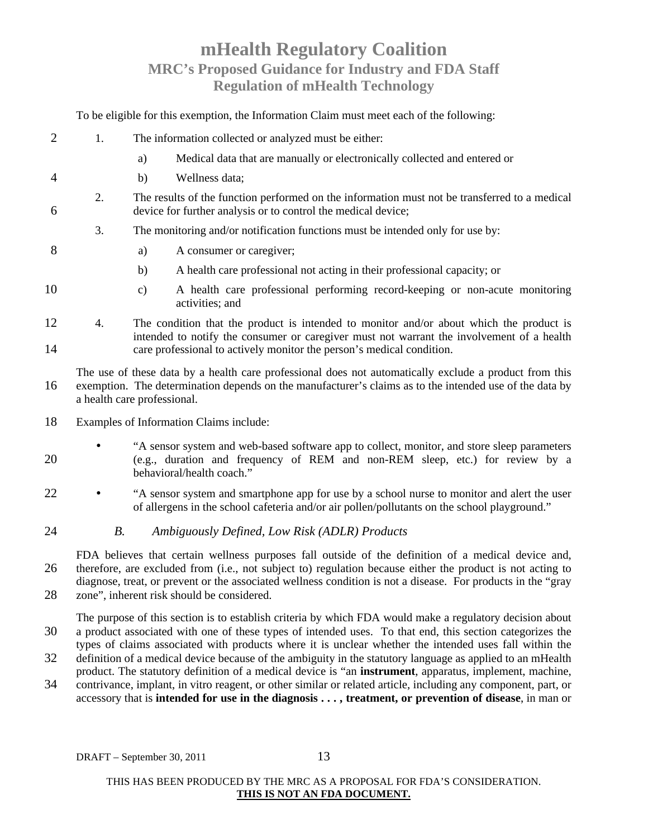To be eligible for this exemption, the Information Claim must meet each of the following:

- 2 1. The information collected or analyzed must be either:
	- a) Medical data that are manually or electronically collected and entered or
- 4 b) Wellness data;
- 2. The results of the function performed on the information must not be transferred to a medical 6 device for further analysis or to control the medical device;
	- 3. The monitoring and/or notification functions must be intended only for use by:
- 8 a) A consumer or caregiver;
	- b) A health care professional not acting in their professional capacity; or
- 10 c) A health care professional performing record-keeping or non-acute monitoring activities; and
- 12 4. The condition that the product is intended to monitor and/or about which the product is intended to notify the consumer or caregiver must not warrant the involvement of a health 14 care professional to actively monitor the person's medical condition.

The use of these data by a health care professional does not automatically exclude a product from this 16 exemption. The determination depends on the manufacturer's claims as to the intended use of the data by a health care professional.

- 18 Examples of Information Claims include:
- "A sensor system and web-based software app to collect, monitor, and store sleep parameters 20 (e.g., duration and frequency of REM and non-REM sleep, etc.) for review by a behavioral/health coach."
- 22 "A sensor system and smartphone app for use by a school nurse to monitor and alert the user of allergens in the school cafeteria and/or air pollen/pollutants on the school playground."
- 24 *B. Ambiguously Defined, Low Risk (ADLR) Products*

FDA believes that certain wellness purposes fall outside of the definition of a medical device and, 26 therefore, are excluded from (i.e., not subject to) regulation because either the product is not acting to diagnose, treat, or prevent or the associated wellness condition is not a disease. For products in the "gray 28 zone", inherent risk should be considered.

- The purpose of this section is to establish criteria by which FDA would make a regulatory decision about 30 a product associated with one of these types of intended uses. To that end, this section categorizes the types of claims associated with products where it is unclear whether the intended uses fall within the
- 32 definition of a medical device because of the ambiguity in the statutory language as applied to an mHealth product. The statutory definition of a medical device is "an **instrument**, apparatus, implement, machine,
- 34 contrivance, implant, in vitro reagent, or other similar or related article, including any component, part, or accessory that is **intended for use in the diagnosis . . . , treatment, or prevention of disease**, in man or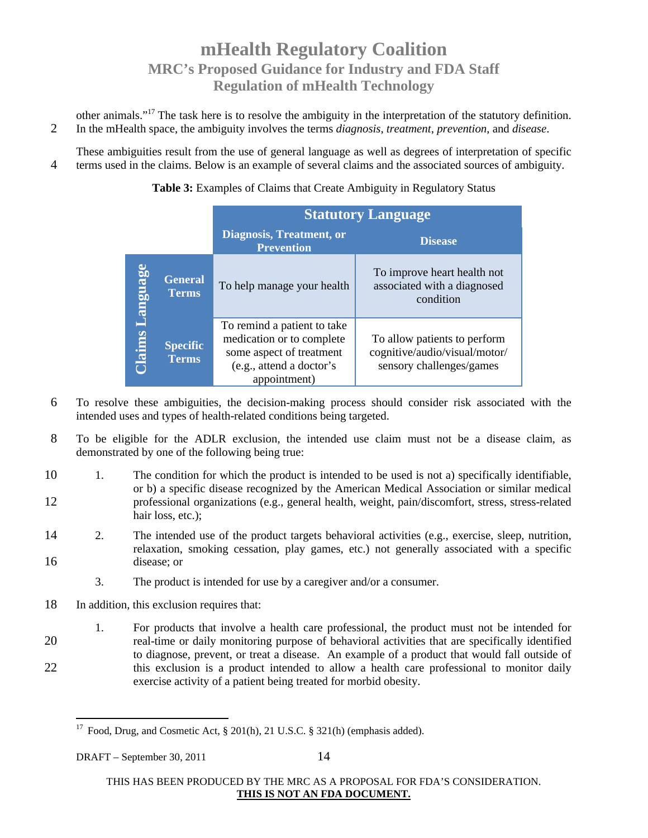other animals."<sup>17</sup> The task here is to resolve the ambiguity in the interpretation of the statutory definition. 2 In the mHealth space, the ambiguity involves the terms *diagnosis*, *treatment*, *prevention*, and *disease*.

These ambiguities result from the use of general language as well as degrees of interpretation of specific 4 terms used in the claims. Below is an example of several claims and the associated sources of ambiguity.

Table 3: Examples of Claims that Create Ambiguity in Regulatory Status

|                 |                                 | <b>Statutory Language</b>                                                                                                        |                                                                                           |  |
|-----------------|---------------------------------|----------------------------------------------------------------------------------------------------------------------------------|-------------------------------------------------------------------------------------------|--|
|                 |                                 | Diagnosis, Treatment, or<br><b>Prevention</b>                                                                                    | <b>Disease</b>                                                                            |  |
| <b>Language</b> | <b>General</b><br><b>Terms</b>  | To help manage your health                                                                                                       | To improve heart health not<br>associated with a diagnosed<br>condition                   |  |
| Claims          | <b>Specific</b><br><b>Terms</b> | To remind a patient to take<br>medication or to complete<br>some aspect of treatment<br>(e.g., attend a doctor's<br>appointment) | To allow patients to perform<br>cognitive/audio/visual/motor/<br>sensory challenges/games |  |

- 6 To resolve these ambiguities, the decision-making process should consider risk associated with the intended uses and types of health-related conditions being targeted.
- 8 To be eligible for the ADLR exclusion, the intended use claim must not be a disease claim, as demonstrated by one of the following being true:
- 10 1. The condition for which the product is intended to be used is not a) specifically identifiable, or b) a specific disease recognized by the American Medical Association or similar medical 12 professional organizations (e.g., general health, weight, pain/discomfort, stress, stress-related hair loss, etc.);
- 14 2. The intended use of the product targets behavioral activities (e.g., exercise, sleep, nutrition, relaxation, smoking cessation, play games, etc.) not generally associated with a specific 16 disease; or
	- 3. The product is intended for use by a caregiver and/or a consumer.
- 18 In addition, this exclusion requires that:
- 1. For products that involve a health care professional, the product must not be intended for 20 real-time or daily monitoring purpose of behavioral activities that are specifically identified to diagnose, prevent, or treat a disease. An example of a product that would fall outside of 22 this exclusion is a product intended to allow a health care professional to monitor daily exercise activity of a patient being treated for morbid obesity.

<sup>&</sup>lt;sup>17</sup> Food, Drug, and Cosmetic Act, § 201(h), 21 U.S.C. § 321(h) (emphasis added).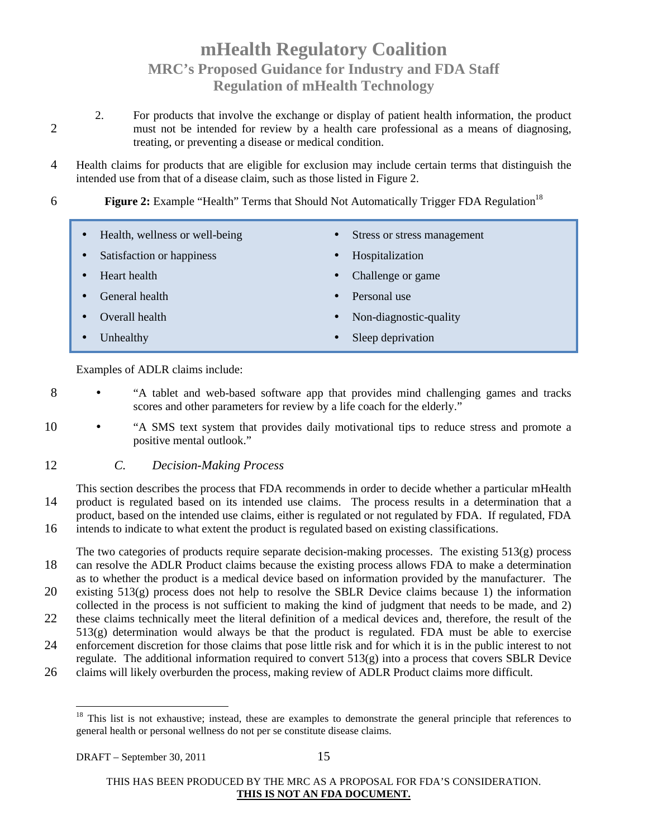- 2. For products that involve the exchange or display of patient health information, the product 2 must not be intended for review by a health care professional as a means of diagnosing, treating, or preventing a disease or medical condition.
- 4 Health claims for products that are eligible for exclusion may include certain terms that distinguish the intended use from that of a disease claim, such as those listed in Figure 2.
- **Figure 2:** Example "Health" Terms that Should Not Automatically Trigger FDA Regulation<sup>18</sup>
	- Health, wellness or well-being • Satisfaction or happiness • Heart health • General health • Overall health • Unhealthy • Stress or stress management • Hospitalization • Challenge or game • Personal use • Non-diagnostic-quality Sleep deprivation

Examples of ADLR claims include:

- 8 "A tablet and web-based software app that provides mind challenging games and tracks scores and other parameters for review by a life coach for the elderly."
- 10 "A SMS text system that provides daily motivational tips to reduce stress and promote a positive mental outlook."
- 12 *C. Decision-Making Process*

This section describes the process that FDA recommends in order to decide whether a particular mHealth 14 product is regulated based on its intended use claims. The process results in a determination that a product, based on the intended use claims, either is regulated or not regulated by FDA. If regulated, FDA 16 intends to indicate to what extent the product is regulated based on existing classifications.

The two categories of products require separate decision-making processes. The existing 513(g) process 18 can resolve the ADLR Product claims because the existing process allows FDA to make a determination as to whether the product is a medical device based on information provided by the manufacturer. The

- 20 existing 513(g) process does not help to resolve the SBLR Device claims because 1) the information collected in the process is not sufficient to making the kind of judgment that needs to be made, and 2)
- 22 these claims technically meet the literal definition of a medical devices and, therefore, the result of the 513(g) determination would always be that the product is regulated. FDA must be able to exercise
- 24 enforcement discretion for those claims that pose little risk and for which it is in the public interest to not regulate. The additional information required to convert  $513(g)$  into a process that covers SBLR Device
- 26 claims will likely overburden the process, making review of ADLR Product claims more difficult.

 $18$  This list is not exhaustive; instead, these are examples to demonstrate the general principle that references to general health or personal wellness do not per se constitute disease claims.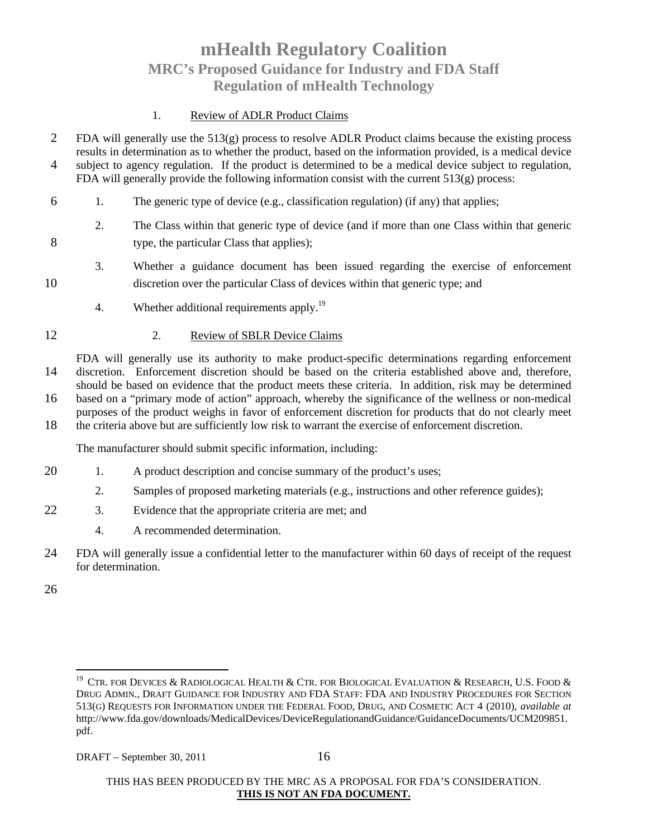#### 1. Review of ADLR Product Claims

- 2 FDA will generally use the  $513(g)$  process to resolve ADLR Product claims because the existing process results in determination as to whether the product, based on the information provided, is a medical device 4 subject to agency regulation. If the product is determined to be a medical device subject to regulation, FDA will generally provide the following information consist with the current  $513(g)$  process:
- 6 1. The generic type of device (e.g., classification regulation) (if any) that applies;
- 2. The Class within that generic type of device (and if more than one Class within that generic 8 type, the particular Class that applies);
- 3. Whether a guidance document has been issued regarding the exercise of enforcement 10 discretion over the particular Class of devices within that generic type; and
	- 4. Whether additional requirements apply.<sup>19</sup>
- 12 2. Review of SBLR Device Claims

FDA will generally use its authority to make product-specific determinations regarding enforcement 14 discretion. Enforcement discretion should be based on the criteria established above and, therefore, should be based on evidence that the product meets these criteria. In addition, risk may be determined 16 based on a "primary mode of action" approach, whereby the significance of the wellness or non-medical purposes of the product weighs in favor of enforcement discretion for products that do not clearly meet 18 the criteria above but are sufficiently low risk to warrant the exercise of enforcement discretion.

The manufacturer should submit specific information, including:

- 20 1. A product description and concise summary of the product's uses;
	- 2. Samples of proposed marketing materials (e.g., instructions and other reference guides);
- 22 3. Evidence that the appropriate criteria are met; and
	- 4. A recommended determination.
- 24 FDA will generally issue a confidential letter to the manufacturer within 60 days of receipt of the request for determination.

26

 $^{19}$  CTR. FOR DEVICES & RADIOLOGICAL HEALTH & CTR. FOR BIOLOGICAL EVALUATION & RESEARCH, U.S. FOOD & DRUG ADMIN., DRAFT GUIDANCE FOR INDUSTRY AND FDA STAFF: FDA AND INDUSTRY PROCEDURES FOR SECTION 513(G) REQUESTS FOR INFORMATION UNDER THE FEDERAL FOOD, DRUG, AND COSMETIC ACT 4 (2010), *available at*  http://www.fda.gov/downloads/MedicalDevices/DeviceRegulationandGuidance/GuidanceDocuments/UCM209851. pdf.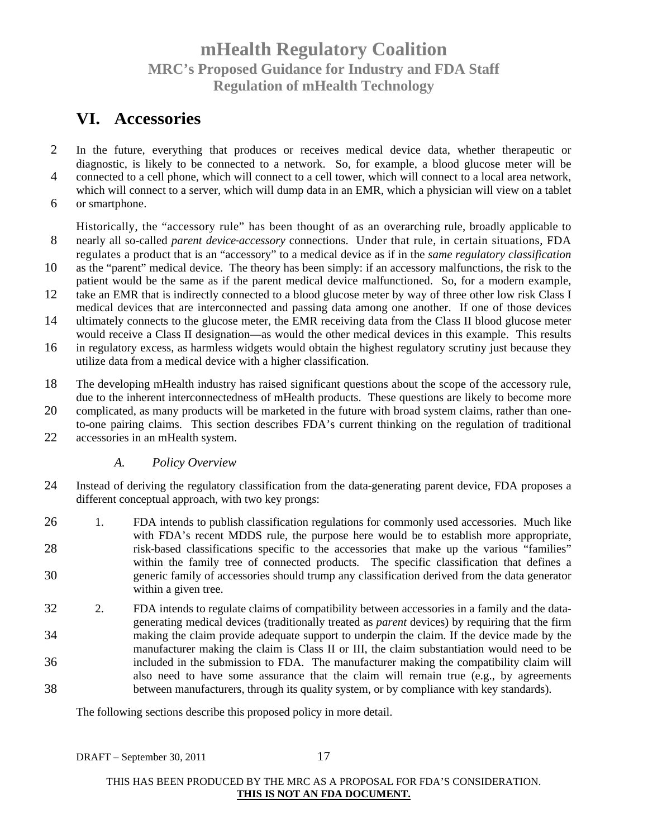### **VI. Accessories**

- 2 In the future, everything that produces or receives medical device data, whether therapeutic or diagnostic, is likely to be connected to a network. So, for example, a blood glucose meter will be 4 connected to a cell phone, which will connect to a cell tower, which will connect to a local area network,
- which will connect to a server, which will dump data in an EMR, which a physician will view on a tablet 6 or smartphone.
- Historically, the "accessory rule" has been thought of as an overarching rule, broadly applicable to 8 nearly all so-called *parent device*-*accessory* connections. Under that rule, in certain situations, FDA regulates a product that is an "accessory" to a medical device as if in the *same regulatory classification*
- 10 as the "parent" medical device. The theory has been simply: if an accessory malfunctions, the risk to the patient would be the same as if the parent medical device malfunctioned. So, for a modern example,
- 12 take an EMR that is indirectly connected to a blood glucose meter by way of three other low risk Class I medical devices that are interconnected and passing data among one another. If one of those devices
- 14 ultimately connects to the glucose meter, the EMR receiving data from the Class II blood glucose meter would receive a Class II designation—as would the other medical devices in this example. This results
- 16 in regulatory excess, as harmless widgets would obtain the highest regulatory scrutiny just because they utilize data from a medical device with a higher classification.
- 18 The developing mHealth industry has raised significant questions about the scope of the accessory rule, due to the inherent interconnectedness of mHealth products. These questions are likely to become more
- 20 complicated, as many products will be marketed in the future with broad system claims, rather than oneto-one pairing claims. This section describes FDA's current thinking on the regulation of traditional
- 22 accessories in an mHealth system.

#### *A. Policy Overview*

- 24 Instead of deriving the regulatory classification from the data-generating parent device, FDA proposes a different conceptual approach, with two key prongs:
- 26 1. FDA intends to publish classification regulations for commonly used accessories. Much like with FDA's recent MDDS rule, the purpose here would be to establish more appropriate, 28 risk-based classifications specific to the accessories that make up the various "families" within the family tree of connected products. The specific classification that defines a 30 generic family of accessories should trump any classification derived from the data generator within a given tree.
- 32 2. FDA intends to regulate claims of compatibility between accessories in a family and the datagenerating medical devices (traditionally treated as *parent* devices) by requiring that the firm 34 making the claim provide adequate support to underpin the claim. If the device made by the manufacturer making the claim is Class II or III, the claim substantiation would need to be 36 included in the submission to FDA. The manufacturer making the compatibility claim will also need to have some assurance that the claim will remain true (e.g., by agreements 38 between manufacturers, through its quality system, or by compliance with key standards).

The following sections describe this proposed policy in more detail.

DRAFT – September 30, 2011 17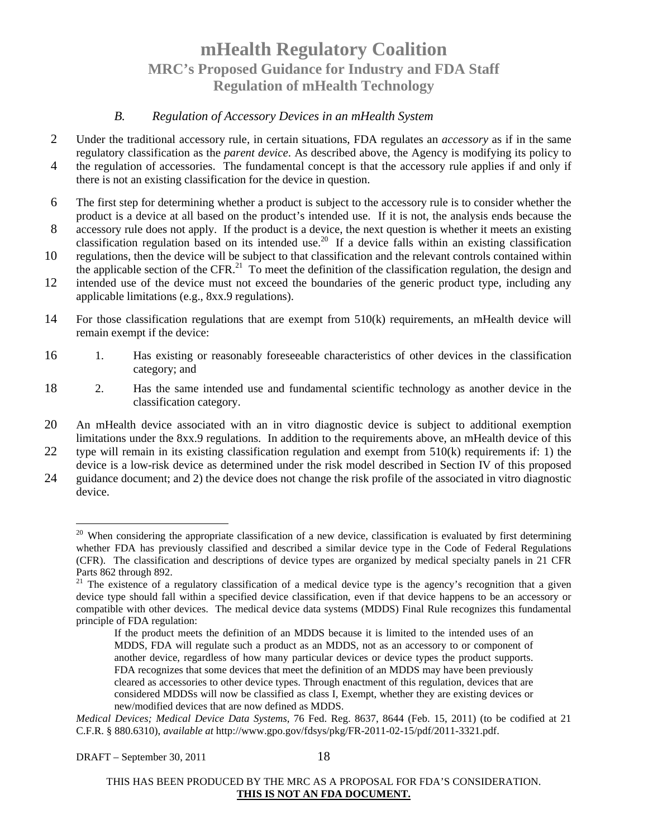#### *B. Regulation of Accessory Devices in an mHealth System*

- 2 Under the traditional accessory rule, in certain situations, FDA regulates an *accessory* as if in the same regulatory classification as the *parent device*. As described above, the Agency is modifying its policy to
- 4 the regulation of accessories. The fundamental concept is that the accessory rule applies if and only if there is not an existing classification for the device in question.
- 6 The first step for determining whether a product is subject to the accessory rule is to consider whether the product is a device at all based on the product's intended use. If it is not, the analysis ends because the
- 8 accessory rule does not apply. If the product is a device, the next question is whether it meets an existing classification regulation based on its intended use. <sup>20</sup> If a device falls within an existing classification
- 10 regulations, then the device will be subject to that classification and the relevant controls contained within the applicable section of the CFR.<sup>21</sup> To meet the definition of the classification regulation, the design and
- 12 intended use of the device must not exceed the boundaries of the generic product type, including any applicable limitations (e.g., 8xx.9 regulations).
- 14 For those classification regulations that are exempt from 510(k) requirements, an mHealth device will remain exempt if the device:
- 16 1. Has existing or reasonably foreseeable characteristics of other devices in the classification category; and
- 18 2. Has the same intended use and fundamental scientific technology as another device in the classification category.
- 20 An mHealth device associated with an in vitro diagnostic device is subject to additional exemption limitations under the 8xx.9 regulations. In addition to the requirements above, an mHealth device of this
- 22 type will remain in its existing classification regulation and exempt from 510(k) requirements if: 1) the device is a low-risk device as determined under the risk model described in Section IV of this proposed
- 24 guidance document; and 2) the device does not change the risk profile of the associated in vitro diagnostic device.

 $20$  When considering the appropriate classification of a new device, classification is evaluated by first determining whether FDA has previously classified and described a similar device type in the Code of Federal Regulations (CFR). The classification and descriptions of device types are organized by medical specialty panels in 21 CFR Parts 862 through 892.

<sup>&</sup>lt;sup>21</sup> The existence of a regulatory classification of a medical device type is the agency's recognition that a given device type should fall within a specified device classification, even if that device happens to be an accessory or compatible with other devices. The medical device data systems (MDDS) Final Rule recognizes this fundamental principle of FDA regulation:

If the product meets the definition of an MDDS because it is limited to the intended uses of an MDDS, FDA will regulate such a product as an MDDS, not as an accessory to or component of another device, regardless of how many particular devices or device types the product supports. FDA recognizes that some devices that meet the definition of an MDDS may have been previously cleared as accessories to other device types. Through enactment of this regulation, devices that are considered MDDSs will now be classified as class I, Exempt, whether they are existing devices or new/modified devices that are now defined as MDDS.

*Medical Devices; Medical Device Data Systems*, 76 Fed. Reg. 8637, 8644 (Feb. 15, 2011) (to be codified at 21 C.F.R. § 880.6310), *available at* http://www.gpo.gov/fdsys/pkg/FR-2011-02-15/pdf/2011-3321.pdf.

THIS HAS BEEN PRODUCED BY THE MRC AS A PROPOSAL FOR FDA'S CONSIDERATION. **THIS IS NOT AN FDA DOCUMENT.**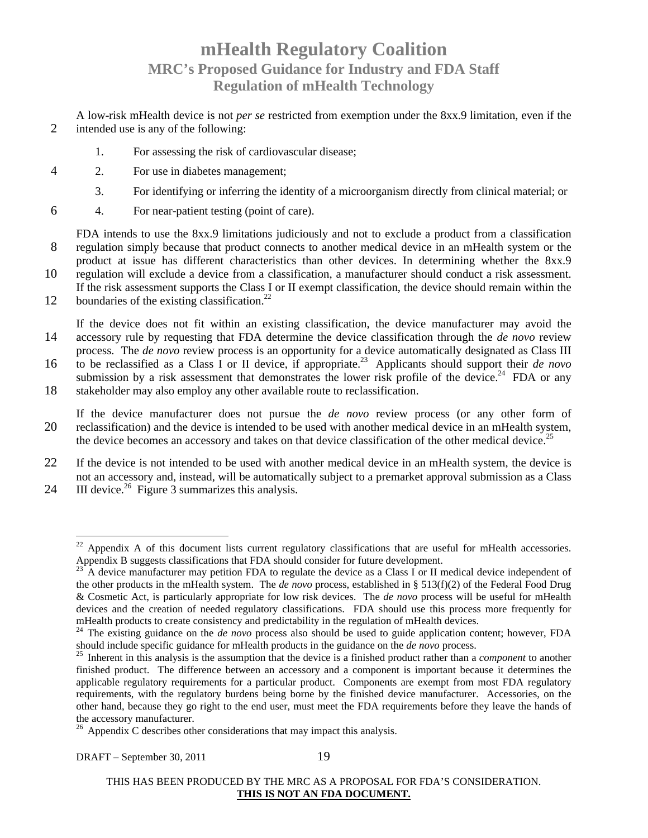A low-risk mHealth device is not *per se* restricted from exemption under the 8xx.9 limitation, even if the 2 intended use is any of the following:

- 1. For assessing the risk of cardiovascular disease;
- 4 2. For use in diabetes management;
	- 3. For identifying or inferring the identity of a microorganism directly from clinical material; or
- 6 4. For near-patient testing (point of care).

FDA intends to use the 8xx.9 limitations judiciously and not to exclude a product from a classification 8 regulation simply because that product connects to another medical device in an mHealth system or the

product at issue has different characteristics than other devices. In determining whether the 8xx.9 10 regulation will exclude a device from a classification, a manufacturer should conduct a risk assessment. If the risk assessment supports the Class I or II exempt classification, the device should remain within the

12 boundaries of the existing classification.<sup>22</sup>

If the device does not fit within an existing classification, the device manufacturer may avoid the 14 accessory rule by requesting that FDA determine the device classification through the *de novo* review process. The *de novo* review process is an opportunity for a device automatically designated as Class III

- to be reclassified as a Class I or II device, if appropriate.<sup>23</sup> Applicants should support their *de novo* submission by a risk assessment that demonstrates the lower risk profile of the device.<sup>24</sup> FDA or any
- 18 stakeholder may also employ any other available route to reclassification.

If the device manufacturer does not pursue the *de novo* review process (or any other form of 20 reclassification) and the device is intended to be used with another medical device in an mHealth system, the device becomes an accessory and takes on that device classification of the other medical device.<sup>25</sup>

- 22 If the device is not intended to be used with another medical device in an mHealth system, the device is not an accessory and, instead, will be automatically subject to a premarket approval submission as a Class
- 24 III device.<sup>26</sup> Figure 3 summarizes this analysis.

 $^{22}$  Appendix A of this document lists current regulatory classifications that are useful for mHealth accessories. Appendix B suggests classifications that FDA should consider for future development.

 $23<sup>23</sup>$  A device manufacturer may petition FDA to regulate the device as a Class I or II medical device independent of the other products in the mHealth system. The *de novo* process, established in § 513(f)(2) of the Federal Food Drug & Cosmetic Act, is particularly appropriate for low risk devices. The *de novo* process will be useful for mHealth devices and the creation of needed regulatory classifications. FDA should use this process more frequently for mHealth products to create consistency and predictability in the regulation of mHealth devices.

<sup>&</sup>lt;sup>24</sup> The existing guidance on the *de novo* process also should be used to guide application content; however, FDA should include specific guidance for mHealth products in the guidance on the *de novo* process.

<sup>25</sup> Inherent in this analysis is the assumption that the device is a finished product rather than a *component* to another finished product. The difference between an accessory and a component is important because it determines the applicable regulatory requirements for a particular product. Components are exempt from most FDA regulatory requirements, with the regulatory burdens being borne by the finished device manufacturer. Accessories, on the other hand, because they go right to the end user, must meet the FDA requirements before they leave the hands of the accessory manufacturer.

 $26$  Appendix C describes other considerations that may impact this analysis.

THIS HAS BEEN PRODUCED BY THE MRC AS A PROPOSAL FOR FDA'S CONSIDERATION. **THIS IS NOT AN FDA DOCUMENT.**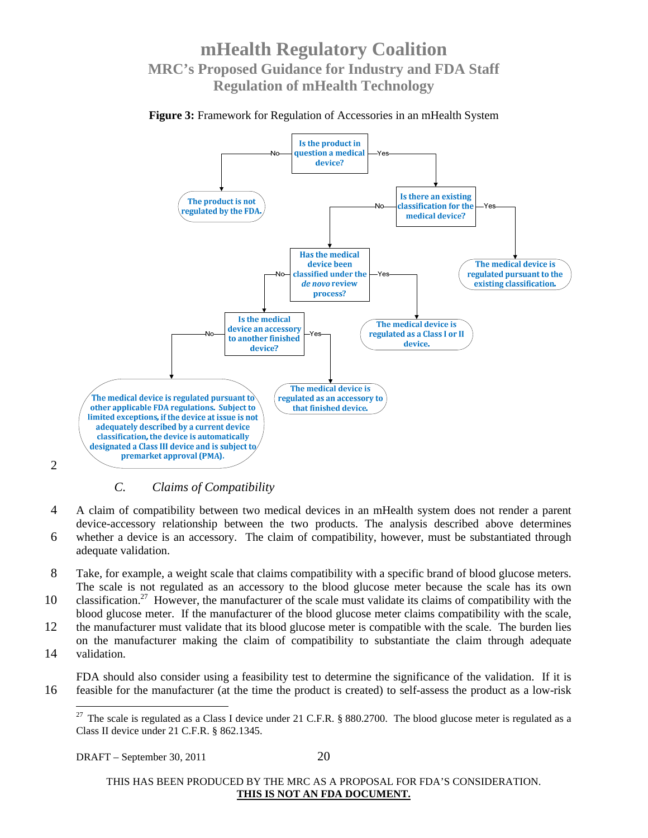**Figure 3:** Framework for Regulation of Accessories in an mHealth System



#### 2

### *C. Claims of Compatibility*

4 A claim of compatibility between two medical devices in an mHealth system does not render a parent device-accessory relationship between the two products. The analysis described above determines 6 whether a device is an accessory. The claim of compatibility, however, must be substantiated through adequate validation.

- 8 Take, for example, a weight scale that claims compatibility with a specific brand of blood glucose meters. The scale is not regulated as an accessory to the blood glucose meter because the scale has its own
- 10 classification.<sup>27</sup> However, the manufacturer of the scale must validate its claims of compatibility with the blood glucose meter. If the manufacturer of the blood glucose meter claims compatibility with the scale,
- 12 the manufacturer must validate that its blood glucose meter is compatible with the scale. The burden lies on the manufacturer making the claim of compatibility to substantiate the claim through adequate 14 validation.
- FDA should also consider using a feasibility test to determine the significance of the validation. If it is 16 feasible for the manufacturer (at the time the product is created) to self-assess the product as a low-risk

<sup>&</sup>lt;sup>27</sup> The scale is regulated as a Class I device under 21 C.F.R. § 880.2700. The blood glucose meter is regulated as a Class II device under 21 C.F.R. § 862.1345.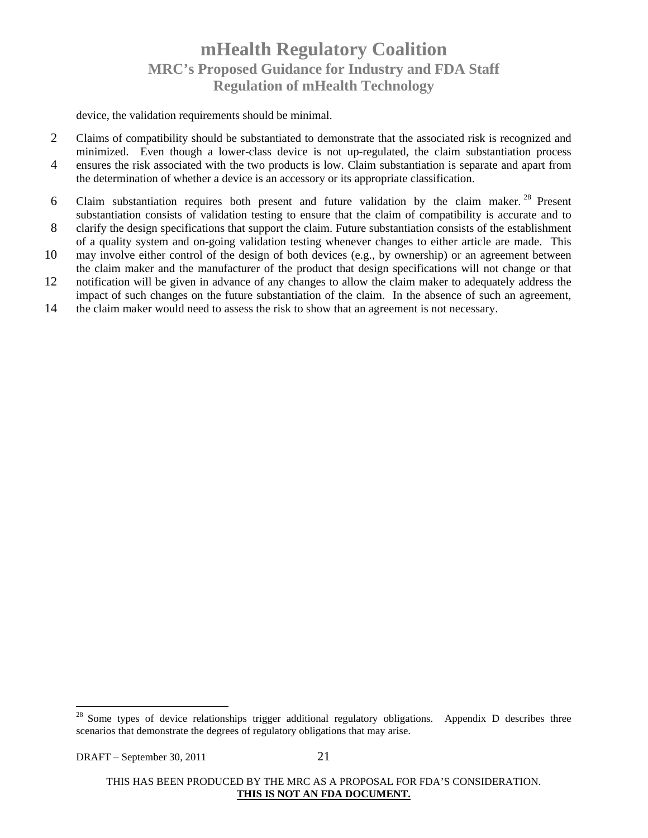device, the validation requirements should be minimal.

- 2 Claims of compatibility should be substantiated to demonstrate that the associated risk is recognized and minimized. Even though a lower-class device is not up-regulated, the claim substantiation process 4 ensures the risk associated with the two products is low. Claim substantiation is separate and apart from the determination of whether a device is an accessory or its appropriate classification.
- 6 Claim substantiation requires both present and future validation by the claim maker. <sup>28</sup> Present substantiation consists of validation testing to ensure that the claim of compatibility is accurate and to
- 8 clarify the design specifications that support the claim. Future substantiation consists of the establishment of a quality system and on-going validation testing whenever changes to either article are made. This
- 10 may involve either control of the design of both devices (e.g., by ownership) or an agreement between the claim maker and the manufacturer of the product that design specifications will not change or that
- 12 notification will be given in advance of any changes to allow the claim maker to adequately address the impact of such changes on the future substantiation of the claim. In the absence of such an agreement,
- 14 the claim maker would need to assess the risk to show that an agreement is not necessary.

<sup>&</sup>lt;sup>28</sup> Some types of device relationships trigger additional regulatory obligations. Appendix D describes three scenarios that demonstrate the degrees of regulatory obligations that may arise.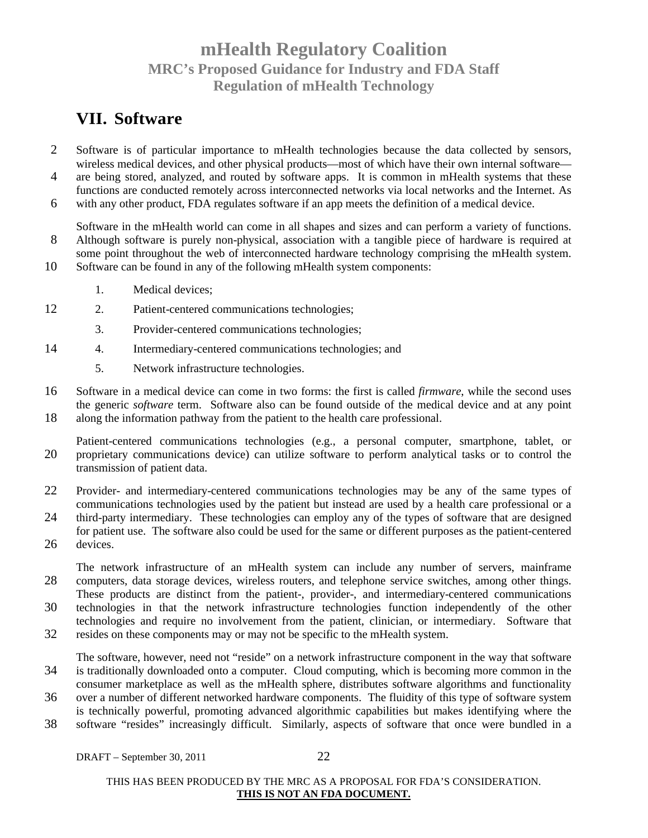### **VII. Software**

- 2 Software is of particular importance to mHealth technologies because the data collected by sensors, wireless medical devices, and other physical products—most of which have their own internal software—
- 4 are being stored, analyzed, and routed by software apps. It is common in mHealth systems that these functions are conducted remotely across interconnected networks via local networks and the Internet. As
- 6 with any other product, FDA regulates software if an app meets the definition of a medical device.

Software in the mHealth world can come in all shapes and sizes and can perform a variety of functions. 8 Although software is purely non-physical, association with a tangible piece of hardware is required at some point throughout the web of interconnected hardware technology comprising the mHealth system. 10 Software can be found in any of the following mHealth system components:

- 1. Medical devices;
- 12 2. Patient-centered communications technologies;
	- 3. Provider-centered communications technologies;
- 14 4. Intermediary-centered communications technologies; and
	- 5. Network infrastructure technologies.
- 16 Software in a medical device can come in two forms: the first is called *firmware*, while the second uses the generic *software* term. Software also can be found outside of the medical device and at any point 18 along the information pathway from the patient to the health care professional.
- Patient-centered communications technologies (e.g., a personal computer, smartphone, tablet, or 20 proprietary communications device) can utilize software to perform analytical tasks or to control the transmission of patient data.
- 22 Provider- and intermediary-centered communications technologies may be any of the same types of communications technologies used by the patient but instead are used by a health care professional or a
- 24 third-party intermediary. These technologies can employ any of the types of software that are designed for patient use. The software also could be used for the same or different purposes as the patient-centered 26 devices.
- The network infrastructure of an mHealth system can include any number of servers, mainframe 28 computers, data storage devices, wireless routers, and telephone service switches, among other things. These products are distinct from the patient-, provider-, and intermediary-centered communications
- 30 technologies in that the network infrastructure technologies function independently of the other technologies and require no involvement from the patient, clinician, or intermediary. Software that
- 32 resides on these components may or may not be specific to the mHealth system.

The software, however, need not "reside" on a network infrastructure component in the way that software 34 is traditionally downloaded onto a computer. Cloud computing, which is becoming more common in the consumer marketplace as well as the mHealth sphere, distributes software algorithms and functionality

- 36 over a number of different networked hardware components. The fluidity of this type of software system is technically powerful, promoting advanced algorithmic capabilities but makes identifying where the
- 38 software "resides" increasingly difficult. Similarly, aspects of software that once were bundled in a

DRAFT – September 30, 2011 22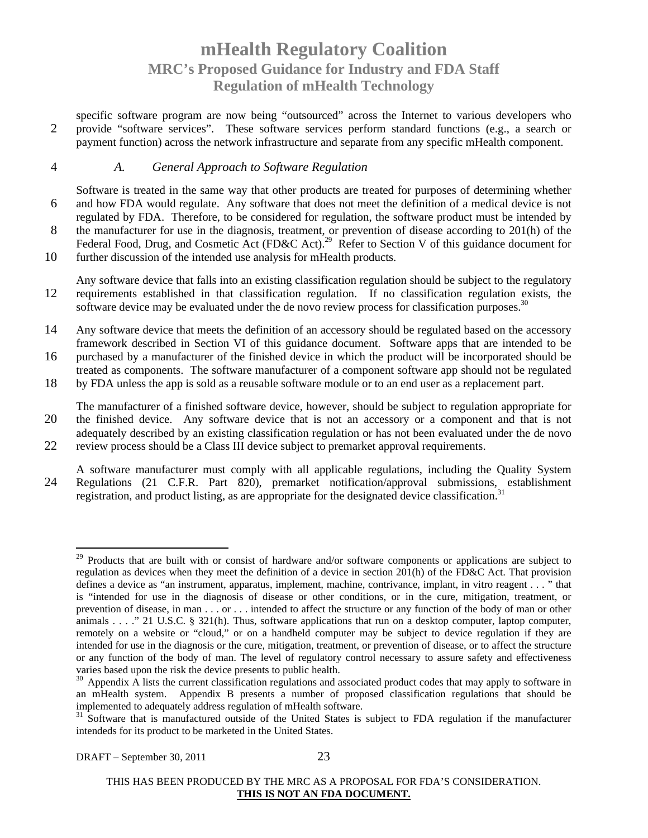specific software program are now being "outsourced" across the Internet to various developers who 2 provide "software services". These software services perform standard functions (e.g., a search or payment function) across the network infrastructure and separate from any specific mHealth component.

#### 4 *A. General Approach to Software Regulation*

Software is treated in the same way that other products are treated for purposes of determining whether 6 and how FDA would regulate. Any software that does not meet the definition of a medical device is not regulated by FDA. Therefore, to be considered for regulation, the software product must be intended by 8 the manufacturer for use in the diagnosis, treatment, or prevention of disease according to 201(h) of the Federal Food, Drug, and Cosmetic Act (FD&C Act).<sup>29</sup> Refer to Section V of this guidance document for

10 further discussion of the intended use analysis for mHealth products.

Any software device that falls into an existing classification regulation should be subject to the regulatory 12 requirements established in that classification regulation. If no classification regulation exists, the software device may be evaluated under the de novo review process for classification purposes.<sup>3</sup>

14 Any software device that meets the definition of an accessory should be regulated based on the accessory framework described in Section VI of this guidance document. Software apps that are intended to be

16 purchased by a manufacturer of the finished device in which the product will be incorporated should be treated as components. The software manufacturer of a component software app should not be regulated

18 by FDA unless the app is sold as a reusable software module or to an end user as a replacement part.

The manufacturer of a finished software device, however, should be subject to regulation appropriate for 20 the finished device. Any software device that is not an accessory or a component and that is not adequately described by an existing classification regulation or has not been evaluated under the de novo 22 review process should be a Class III device subject to premarket approval requirements.

A software manufacturer must comply with all applicable regulations, including the Quality System 24 Regulations (21 C.F.R. Part 820), premarket notification/approval submissions, establishment registration, and product listing, as are appropriate for the designated device classification.<sup>31</sup>

 $29$  Products that are built with or consist of hardware and/or software components or applications are subject to regulation as devices when they meet the definition of a device in section 201(h) of the FD&C Act. That provision defines a device as "an instrument, apparatus, implement, machine, contrivance, implant, in vitro reagent . . . " that is "intended for use in the diagnosis of disease or other conditions, or in the cure, mitigation, treatment, or prevention of disease, in man . . . or . . . intended to affect the structure or any function of the body of man or other animals . . . ." 21 U.S.C. § 321(h). Thus, software applications that run on a desktop computer, laptop computer, remotely on a website or "cloud," or on a handheld computer may be subject to device regulation if they are intended for use in the diagnosis or the cure, mitigation, treatment, or prevention of disease, or to affect the structure or any function of the body of man. The level of regulatory control necessary to assure safety and effectiveness varies based upon the risk the device presents to public health.

<sup>&</sup>lt;sup>30</sup> Appendix A lists the current classification regulations and associated product codes that may apply to software in an mHealth system. Appendix B presents a number of proposed classification regulations that should be implemented to adequately address regulation of mHealth software.

<sup>&</sup>lt;sup>31</sup> Software that is manufactured outside of the United States is subject to FDA regulation if the manufacturer intendeds for its product to be marketed in the United States.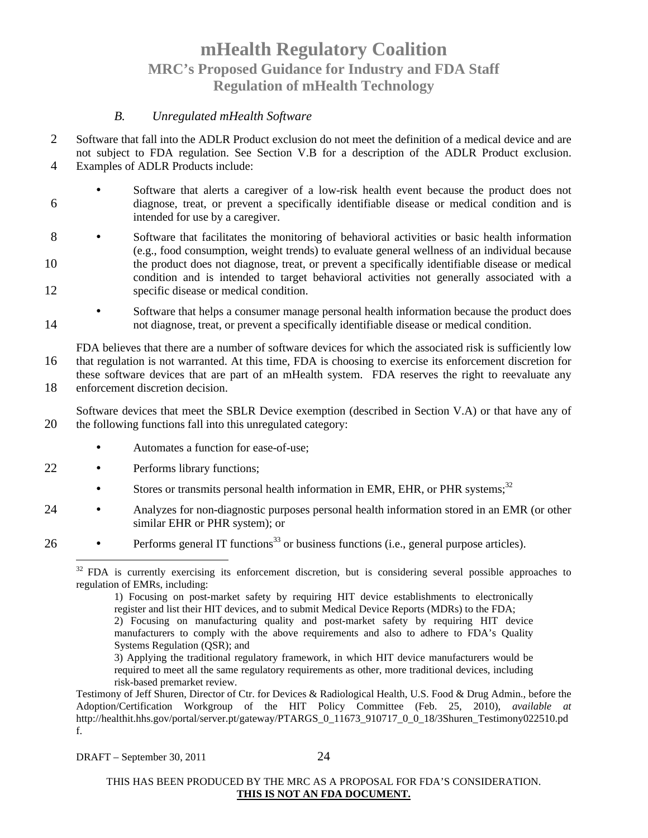#### *B. Unregulated mHealth Software*

- 2 Software that fall into the ADLR Product exclusion do not meet the definition of a medical device and are not subject to FDA regulation. See Section V.B for a description of the ADLR Product exclusion. 4 Examples of ADLR Products include:
- 

- Software that alerts a caregiver of a low-risk health event because the product does not 6 diagnose, treat, or prevent a specifically identifiable disease or medical condition and is intended for use by a caregiver.
- 8 Software that facilitates the monitoring of behavioral activities or basic health information (e.g., food consumption, weight trends) to evaluate general wellness of an individual because 10 the product does not diagnose, treat, or prevent a specifically identifiable disease or medical condition and is intended to target behavioral activities not generally associated with a 12 specific disease or medical condition.
- Software that helps a consumer manage personal health information because the product does 14 not diagnose, treat, or prevent a specifically identifiable disease or medical condition.

FDA believes that there are a number of software devices for which the associated risk is sufficiently low 16 that regulation is not warranted. At this time, FDA is choosing to exercise its enforcement discretion for these software devices that are part of an mHealth system. FDA reserves the right to reevaluate any 18 enforcement discretion decision.

Software devices that meet the SBLR Device exemption (described in Section V.A) or that have any of 20 the following functions fall into this unregulated category:

- Automates a function for ease-of-use;
- 22 Performs library functions;
	- Stores or transmits personal health information in EMR, EHR, or PHR systems; $32$
- 24 Analyzes for non-diagnostic purposes personal health information stored in an EMR (or other similar EHR or PHR system); or
- 26 Performs general IT functions<sup>33</sup> or business functions (i.e., general purpose articles).

<sup>&</sup>lt;sup>32</sup> FDA is currently exercising its enforcement discretion, but is considering several possible approaches to regulation of EMRs, including:

<sup>1)</sup> Focusing on post-market safety by requiring HIT device establishments to electronically register and list their HIT devices, and to submit Medical Device Reports (MDRs) to the FDA; 2) Focusing on manufacturing quality and post-market safety by requiring HIT device manufacturers to comply with the above requirements and also to adhere to FDA's Quality Systems Regulation (QSR); and

<sup>3)</sup> Applying the traditional regulatory framework, in which HIT device manufacturers would be required to meet all the same regulatory requirements as other, more traditional devices, including risk-based premarket review.

Testimony of Jeff Shuren, Director of Ctr. for Devices & Radiological Health, U.S. Food & Drug Admin., before the Adoption/Certification Workgroup of the HIT Policy Committee (Feb. 25, 2010), *available at*  http://healthit.hhs.gov/portal/server.pt/gateway/PTARGS\_0\_11673\_910717\_0\_0\_18/3Shuren\_Testimony022510.pd f.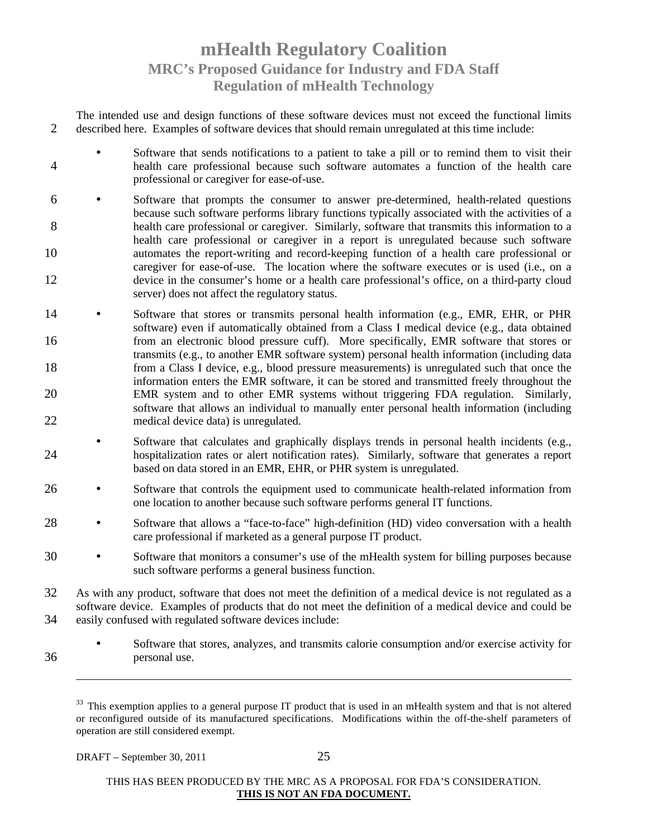The intended use and design functions of these software devices must not exceed the functional limits 2 described here. Examples of software devices that should remain unregulated at this time include:

- Software that sends notifications to a patient to take a pill or to remind them to visit their 4 health care professional because such software automates a function of the health care professional or caregiver for ease-of-use.
- 6 Software that prompts the consumer to answer pre-determined, health-related questions because such software performs library functions typically associated with the activities of a 8 health care professional or caregiver. Similarly, software that transmits this information to a health care professional or caregiver in a report is unregulated because such software 10 automates the report-writing and record-keeping function of a health care professional or caregiver for ease-of-use. The location where the software executes or is used (i.e., on a 12 device in the consumer's home or a health care professional's office, on a third-party cloud server) does not affect the regulatory status.
- 14 Software that stores or transmits personal health information (e.g., EMR, EHR, or PHR software) even if automatically obtained from a Class I medical device (e.g., data obtained 16 from an electronic blood pressure cuff). More specifically, EMR software that stores or transmits (e.g., to another EMR software system) personal health information (including data 18 from a Class I device, e.g., blood pressure measurements) is unregulated such that once the information enters the EMR software, it can be stored and transmitted freely throughout the 20 EMR system and to other EMR systems without triggering FDA regulation. Similarly, software that allows an individual to manually enter personal health information (including 22 medical device data) is unregulated.
- Software that calculates and graphically displays trends in personal health incidents (e.g., 24 hospitalization rates or alert notification rates). Similarly, software that generates a report based on data stored in an EMR, EHR, or PHR system is unregulated.
- 26 Software that controls the equipment used to communicate health-related information from one location to another because such software performs general IT functions.
- 28 Software that allows a "face-to-face" high-definition (HD) video conversation with a health care professional if marketed as a general purpose IT product.
- 30 Software that monitors a consumer's use of the mHealth system for billing purposes because such software performs a general business function.
- 32 As with any product, software that does not meet the definition of a medical device is not regulated as a software device. Examples of products that do not meet the definition of a medical device and could be 34 easily confused with regulated software devices include:
- Software that stores, analyzes, and transmits calorie consumption and/or exercise activity for 36 personal use.

DRAFT – September 30, 2011 25

 $33$  This exemption applies to a general purpose IT product that is used in an mHealth system and that is not altered or reconfigured outside of its manufactured specifications. Modifications within the off-the-shelf parameters of operation are still considered exempt.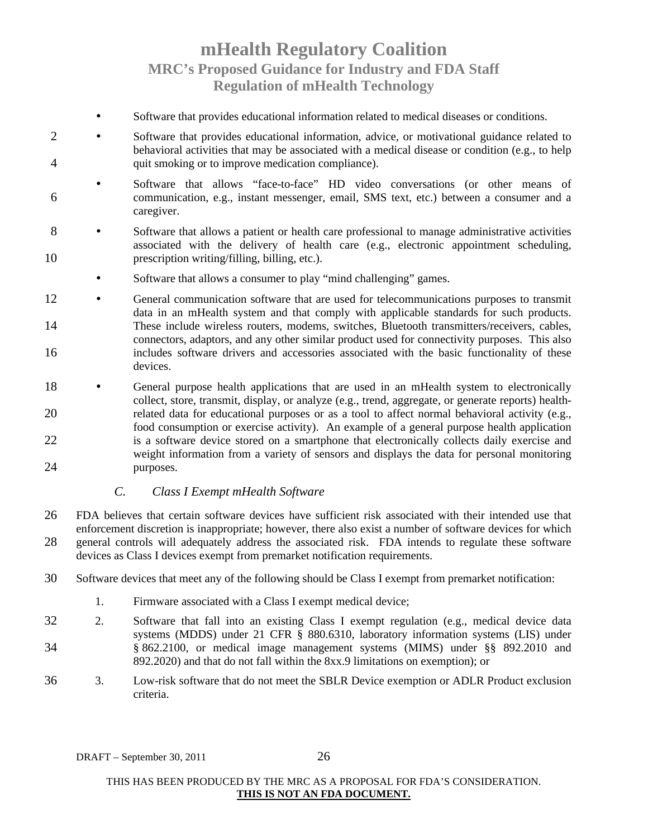- Software that provides educational information related to medical diseases or conditions.
- 2 Software that provides educational information, advice, or motivational guidance related to behavioral activities that may be associated with a medical disease or condition (e.g., to help 4 quit smoking or to improve medication compliance).
- Software that allows "face-to-face" HD video conversations (or other means of 6 communication, e.g., instant messenger, email, SMS text, etc.) between a consumer and a caregiver.
- 8 Software that allows a patient or health care professional to manage administrative activities associated with the delivery of health care (e.g., electronic appointment scheduling, 10 prescription writing/filling, billing, etc.).
	- Software that allows a consumer to play "mind challenging" games.
- 12 General communication software that are used for telecommunications purposes to transmit data in an mHealth system and that comply with applicable standards for such products. 14 These include wireless routers, modems, switches, Bluetooth transmitters/receivers, cables, connectors, adaptors, and any other similar product used for connectivity purposes. This also 16 includes software drivers and accessories associated with the basic functionality of these devices.
- 18 General purpose health applications that are used in an mHealth system to electronically collect, store, transmit, display, or analyze (e.g., trend, aggregate, or generate reports) health-20 related data for educational purposes or as a tool to affect normal behavioral activity (e.g., food consumption or exercise activity). An example of a general purpose health application 22 is a software device stored on a smartphone that electronically collects daily exercise and weight information from a variety of sensors and displays the data for personal monitoring 24 purposes.

#### *C. Class I Exempt mHealth Software*

- 26 FDA believes that certain software devices have sufficient risk associated with their intended use that enforcement discretion is inappropriate; however, there also exist a number of software devices for which 28 general controls will adequately address the associated risk. FDA intends to regulate these software devices as Class I devices exempt from premarket notification requirements.
- 30 Software devices that meet any of the following should be Class I exempt from premarket notification:
	- 1. Firmware associated with a Class I exempt medical device;
- 32 2. Software that fall into an existing Class I exempt regulation (e.g., medical device data systems (MDDS) under 21 CFR § 880.6310, laboratory information systems (LIS) under 34 § 862.2100, or medical image management systems (MIMS) under §§ 892.2010 and 892.2020) and that do not fall within the 8xx.9 limitations on exemption); or
- 36 3. Low-risk software that do not meet the SBLR Device exemption or ADLR Product exclusion criteria.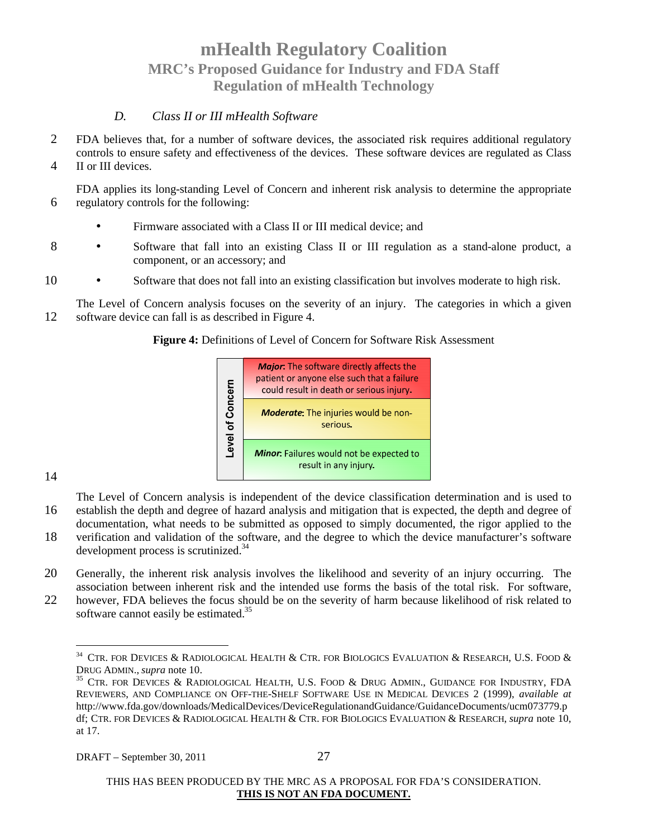#### *D. Class II or III mHealth Software*

- 2 FDA believes that, for a number of software devices, the associated risk requires additional regulatory controls to ensure safety and effectiveness of the devices. These software devices are regulated as Class
- 4 II or III devices.

FDA applies its long-standing Level of Concern and inherent risk analysis to determine the appropriate 6 regulatory controls for the following:

- Firmware associated with a Class II or III medical device; and
- 8 Software that fall into an existing Class II or III regulation as a stand-alone product, a component, or an accessory; and
- 10 Software that does not fall into an existing classification but involves moderate to high risk.

The Level of Concern analysis focuses on the severity of an injury. The categories in which a given 12 software device can fall is as described in Figure 4.

**Figure 4:** Definitions of Level of Concern for Software Risk Assessment

|            | <b>Major:</b> The software directly affects the<br>patient or anyone else such that a failure<br>could result in death or serious injury. |
|------------|-------------------------------------------------------------------------------------------------------------------------------------------|
| of Concern | <b>Moderate:</b> The injuries would be non-<br>serious.                                                                                   |
| Level      | <b>Minor:</b> Failures would not be expected to<br>result in any injury.                                                                  |

14

The Level of Concern analysis is independent of the device classification determination and is used to 16 establish the depth and degree of hazard analysis and mitigation that is expected, the depth and degree of documentation, what needs to be submitted as opposed to simply documented, the rigor applied to the

- 18 verification and validation of the software, and the degree to which the device manufacturer's software development process is scrutinized.<sup>34</sup>
- 20 Generally, the inherent risk analysis involves the likelihood and severity of an injury occurring. The association between inherent risk and the intended use forms the basis of the total risk. For software,
- 22 however, FDA believes the focus should be on the severity of harm because likelihood of risk related to software cannot easily be estimated.<sup>35</sup>

 $^{34}$  CTR. FOR DEVICES & RADIOLOGICAL HEALTH & CTR. FOR BIOLOGICS EVALUATION & RESEARCH, U.S. FOOD & DRUG ADMIN., *supra* note 10.

<sup>&</sup>lt;sup>35</sup> CTR. FOR DEVICES & RADIOLOGICAL HEALTH, U.S. FOOD & DRUG ADMIN., GUIDANCE FOR INDUSTRY, FDA REVIEWERS, AND COMPLIANCE ON OFF-THE-SHELF SOFTWARE USE IN MEDICAL DEVICES 2 (1999), *available at*  http://www.fda.gov/downloads/MedicalDevices/DeviceRegulationandGuidance/GuidanceDocuments/ucm073779.p df; CTR. FOR DEVICES & RADIOLOGICAL HEALTH & CTR. FOR BIOLOGICS EVALUATION & RESEARCH, *supra* note 10, at 17.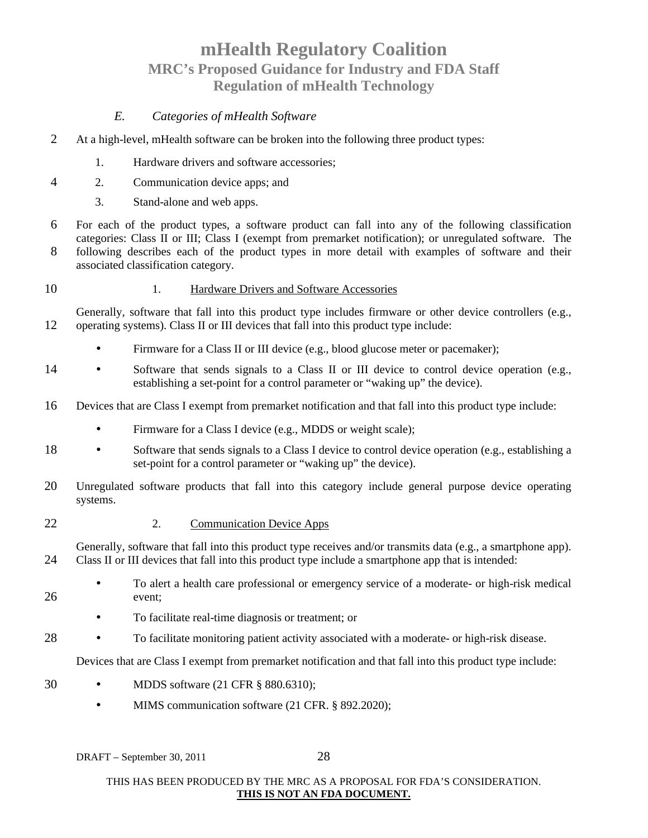### *E. Categories of mHealth Software*

- 2 At a high-level, mHealth software can be broken into the following three product types:
	- 1. Hardware drivers and software accessories;
- 4 2. Communication device apps; and
	- 3. Stand-alone and web apps.
- 6 For each of the product types, a software product can fall into any of the following classification categories: Class II or III; Class I (exempt from premarket notification); or unregulated software. The 8 following describes each of the product types in more detail with examples of software and their associated classification category.
- 10 1. Hardware Drivers and Software Accessories
- Generally, software that fall into this product type includes firmware or other device controllers (e.g., 12 operating systems). Class II or III devices that fall into this product type include:
	- Firmware for a Class II or III device (e.g., blood glucose meter or pacemaker);
- 14 Software that sends signals to a Class II or III device to control device operation (e.g., establishing a set-point for a control parameter or "waking up" the device).
- 16 Devices that are Class I exempt from premarket notification and that fall into this product type include:
	- Firmware for a Class I device (e.g., MDDS or weight scale);
- 18 Software that sends signals to a Class I device to control device operation (e.g., establishing a set-point for a control parameter or "waking up" the device).
- 20 Unregulated software products that fall into this category include general purpose device operating systems.
- 22 2. Communication Device Apps

Generally, software that fall into this product type receives and/or transmits data (e.g., a smartphone app). 24 Class II or III devices that fall into this product type include a smartphone app that is intended:

- To alert a health care professional or emergency service of a moderate- or high-risk medical 26 event;
	- To facilitate real-time diagnosis or treatment; or
- 28 To facilitate monitoring patient activity associated with a moderate- or high-risk disease.

Devices that are Class I exempt from premarket notification and that fall into this product type include:

- 30 MDDS software (21 CFR § 880.6310);
	- MIMS communication software (21 CFR. § 892.2020);

DRAFT – September 30, 2011 28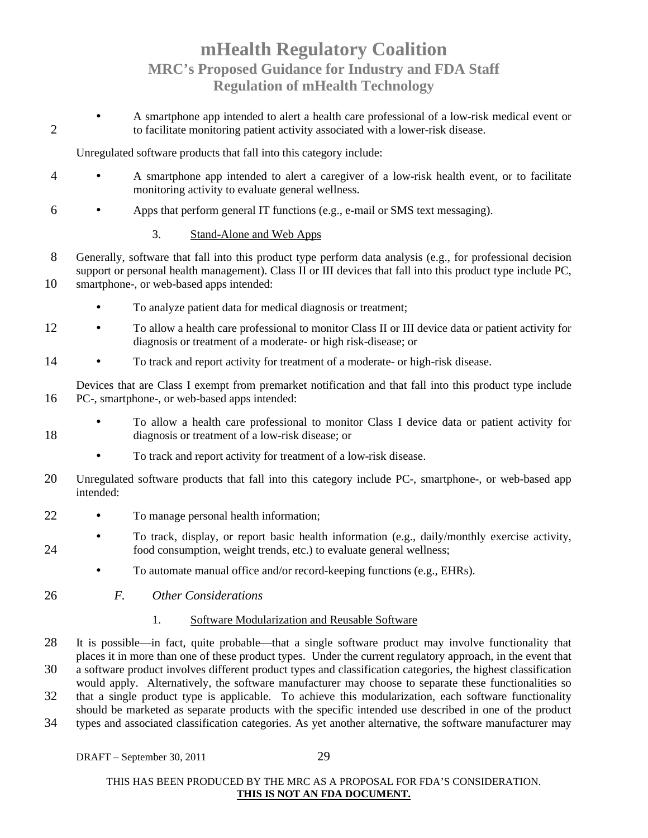• A smartphone app intended to alert a health care professional of a low-risk medical event or 2 to facilitate monitoring patient activity associated with a lower-risk disease.

Unregulated software products that fall into this category include:

- 4 A smartphone app intended to alert a caregiver of a low-risk health event, or to facilitate monitoring activity to evaluate general wellness.
- 6 Apps that perform general IT functions (e.g., e-mail or SMS text messaging).
	- 3. Stand-Alone and Web Apps
- 8 Generally, software that fall into this product type perform data analysis (e.g., for professional decision support or personal health management). Class II or III devices that fall into this product type include PC, 10 smartphone-, or web-based apps intended:
	- To analyze patient data for medical diagnosis or treatment;
- 12 To allow a health care professional to monitor Class II or III device data or patient activity for diagnosis or treatment of a moderate- or high risk-disease; or
- 14 To track and report activity for treatment of a moderate- or high-risk disease.

Devices that are Class I exempt from premarket notification and that fall into this product type include 16 PC-, smartphone-, or web-based apps intended:

- To allow a health care professional to monitor Class I device data or patient activity for 18 diagnosis or treatment of a low-risk disease; or
	- To track and report activity for treatment of a low-risk disease.
- 20 Unregulated software products that fall into this category include PC-, smartphone-, or web-based app intended:
- 22 To manage personal health information;
- To track, display, or report basic health information (e.g., daily/monthly exercise activity, 24 food consumption, weight trends, etc.) to evaluate general wellness;
	- To automate manual office and/or record-keeping functions (e.g., EHRs).
- 26 *F. Other Considerations*

#### 1. Software Modularization and Reusable Software

- 28 It is possible—in fact, quite probable—that a single software product may involve functionality that places it in more than one of these product types. Under the current regulatory approach, in the event that
- 30 a software product involves different product types and classification categories, the highest classification would apply. Alternatively, the software manufacturer may choose to separate these functionalities so
- 32 that a single product type is applicable. To achieve this modularization, each software functionality should be marketed as separate products with the specific intended use described in one of the product
- 34 types and associated classification categories. As yet another alternative, the software manufacturer may

DRAFT – September 30, 2011 29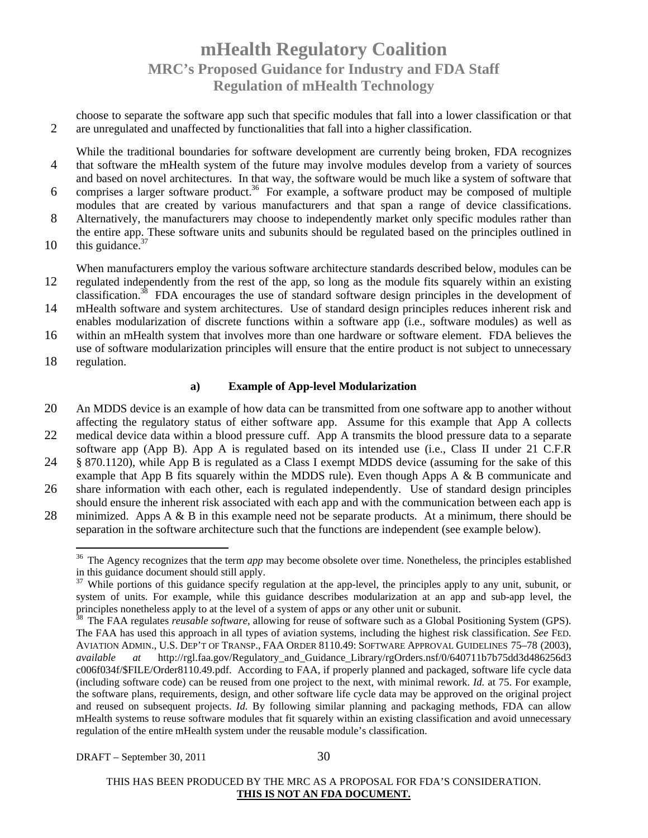choose to separate the software app such that specific modules that fall into a lower classification or that 2 are unregulated and unaffected by functionalities that fall into a higher classification.

While the traditional boundaries for software development are currently being broken, FDA recognizes 4 that software the mHealth system of the future may involve modules develop from a variety of sources and based on novel architectures. In that way, the software would be much like a system of software that

- 6 comprises a larger software product.<sup>36</sup> For example, a software product may be composed of multiple modules that are created by various manufacturers and that span a range of device classifications.
- 8 Alternatively, the manufacturers may choose to independently market only specific modules rather than the entire app. These software units and subunits should be regulated based on the principles outlined in
- $10$  this guidance.<sup>37</sup>

When manufacturers employ the various software architecture standards described below, modules can be 12 regulated independently from the rest of the app, so long as the module fits squarely within an existing classification.<sup>38</sup> FDA encourages the use of standard software design principles in the development of

- 14 mHealth software and system architectures. Use of standard design principles reduces inherent risk and enables modularization of discrete functions within a software app (i.e., software modules) as well as
- 16 within an mHealth system that involves more than one hardware or software element. FDA believes the use of software modularization principles will ensure that the entire product is not subject to unnecessary
- 18 regulation.

#### **a) Example of App-level Modularization**

- 20 An MDDS device is an example of how data can be transmitted from one software app to another without affecting the regulatory status of either software app. Assume for this example that App A collects
- 22 medical device data within a blood pressure cuff. App A transmits the blood pressure data to a separate software app (App B). App A is regulated based on its intended use (i.e., Class II under 21 C.F.R
- 24 § 870.1120), while App B is regulated as a Class I exempt MDDS device (assuming for the sake of this example that App B fits squarely within the MDDS rule). Even though Apps A & B communicate and
- 26 share information with each other, each is regulated independently. Use of standard design principles should ensure the inherent risk associated with each app and with the communication between each app is
- 28 minimized. Apps A  $\&$  B in this example need not be separate products. At a minimum, there should be separation in the software architecture such that the functions are independent (see example below).

<sup>&</sup>lt;sup>36</sup> The Agency recognizes that the term *app* may become obsolete over time. Nonetheless, the principles established in this guidance document should still apply.

<sup>&</sup>lt;sup>37</sup> While portions of this guidance specify regulation at the app-level, the principles apply to any unit, subunit, or system of units. For example, while this guidance describes modularization at an app and sub-app level, the principles nonetheless apply to at the level of a system of apps or any other unit or subunit.<br><sup>38</sup> The EAA requisites noneable of a system of apps or any other unit or subunit.

<sup>38</sup> The FAA regulates *reusable software*, allowing for reuse of software such as a Global Positioning System (GPS). The FAA has used this approach in all types of aviation systems, including the highest risk classification. *See* FED. AVIATION ADMIN., U.S. DEP'T OF TRANSP., FAA ORDER 8110.49: SOFTWARE APPROVAL GUIDELINES 75–78 (2003), *available at* http://rgl.faa.gov/Regulatory\_and\_Guidance\_Library/rgOrders.nsf/0/640711b7b75dd3d486256d3 c006f034f/\$FILE/Order8110.49.pdf. According to FAA, if properly planned and packaged, software life cycle data (including software code) can be reused from one project to the next, with minimal rework. *Id.* at 75. For example, the software plans, requirements, design, and other software life cycle data may be approved on the original project and reused on subsequent projects. *Id.* By following similar planning and packaging methods, FDA can allow mHealth systems to reuse software modules that fit squarely within an existing classification and avoid unnecessary regulation of the entire mHealth system under the reusable module's classification.

THIS HAS BEEN PRODUCED BY THE MRC AS A PROPOSAL FOR FDA'S CONSIDERATION. **THIS IS NOT AN FDA DOCUMENT.**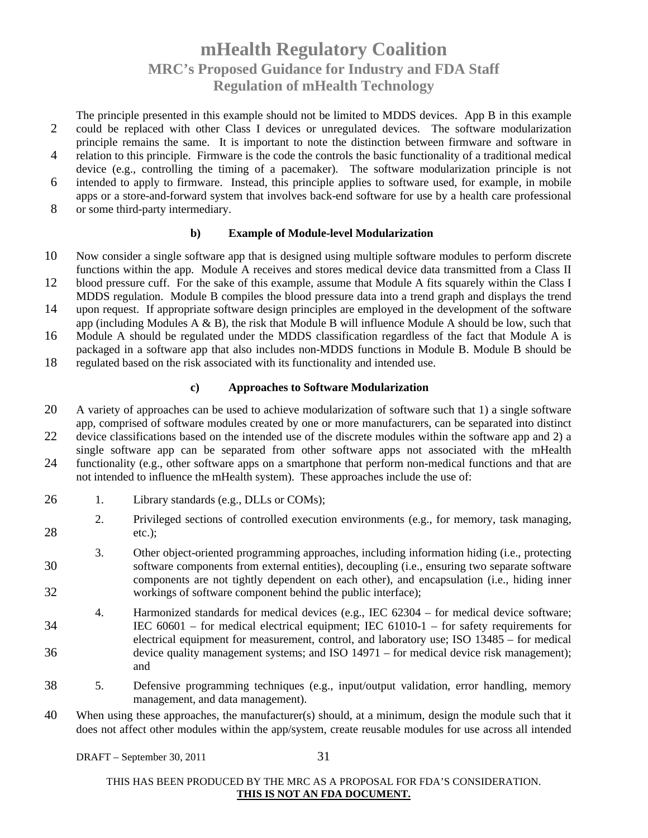The principle presented in this example should not be limited to MDDS devices. App B in this example 2 could be replaced with other Class I devices or unregulated devices. The software modularization principle remains the same. It is important to note the distinction between firmware and software in

- 4 relation to this principle. Firmware is the code the controls the basic functionality of a traditional medical device (e.g., controlling the timing of a pacemaker). The software modularization principle is not
- 6 intended to apply to firmware. Instead, this principle applies to software used, for example, in mobile apps or a store-and-forward system that involves back-end software for use by a health care professional
- 8 or some third-party intermediary.

#### **b) Example of Module-level Modularization**

- 10 Now consider a single software app that is designed using multiple software modules to perform discrete functions within the app. Module A receives and stores medical device data transmitted from a Class II
- 12 blood pressure cuff. For the sake of this example, assume that Module A fits squarely within the Class I MDDS regulation. Module B compiles the blood pressure data into a trend graph and displays the trend
- 14 upon request. If appropriate software design principles are employed in the development of the software app (including Modules  $A \& B$ ), the risk that Module B will influence Module A should be low, such that
- 16 Module A should be regulated under the MDDS classification regardless of the fact that Module A is packaged in a software app that also includes non-MDDS functions in Module B. Module B should be
- 18 regulated based on the risk associated with its functionality and intended use.

#### **c) Approaches to Software Modularization**

- 20 A variety of approaches can be used to achieve modularization of software such that 1) a single software app, comprised of software modules created by one or more manufacturers, can be separated into distinct
- 22 device classifications based on the intended use of the discrete modules within the software app and 2) a single software app can be separated from other software apps not associated with the mHealth
- 24 functionality (e.g., other software apps on a smartphone that perform non-medical functions and that are not intended to influence the mHealth system). These approaches include the use of:
- 26 1. Library standards (e.g., DLLs or COMs);
- 2. Privileged sections of controlled execution environments (e.g., for memory, task managing, 28 etc.);
- 3. Other object-oriented programming approaches, including information hiding (i.e., protecting 30 software components from external entities), decoupling (i.e., ensuring two separate software components are not tightly dependent on each other), and encapsulation (i.e., hiding inner 32 workings of software component behind the public interface);
- 4. Harmonized standards for medical devices (e.g., IEC 62304 for medical device software; 34 IEC 60601 – for medical electrical equipment; IEC 61010-1 – for safety requirements for electrical equipment for measurement, control, and laboratory use; ISO 13485 – for medical 36 device quality management systems; and ISO 14971 – for medical device risk management); and
- 38 5. Defensive programming techniques (e.g., input/output validation, error handling, memory management, and data management).
- 40 When using these approaches, the manufacturer(s) should, at a minimum, design the module such that it does not affect other modules within the app/system, create reusable modules for use across all intended

DRAFT – September 30, 2011 31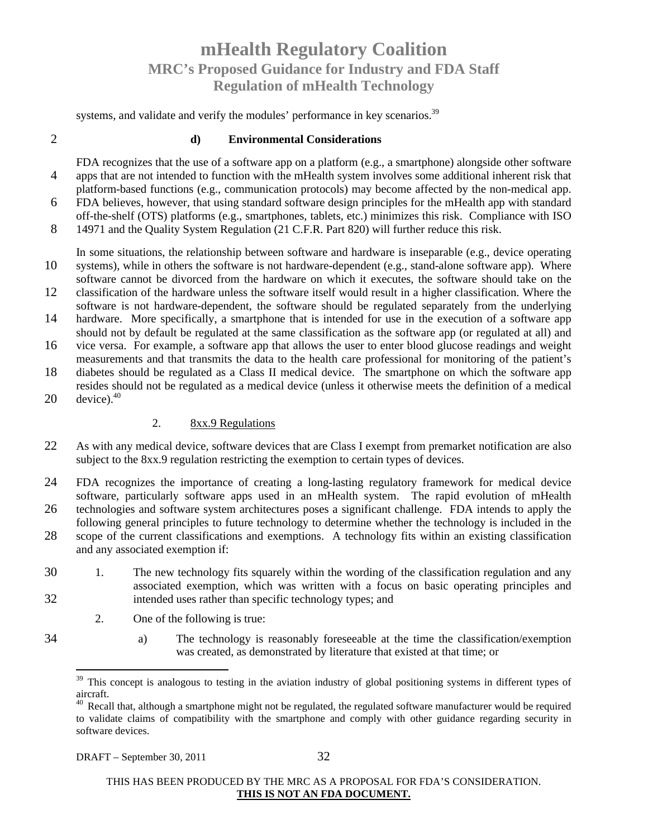systems, and validate and verify the modules' performance in key scenarios.<sup>39</sup>

#### 2 **d) Environmental Considerations**

- FDA recognizes that the use of a software app on a platform (e.g., a smartphone) alongside other software 4 apps that are not intended to function with the mHealth system involves some additional inherent risk that platform-based functions (e.g., communication protocols) may become affected by the non-medical app.
- 6 FDA believes, however, that using standard software design principles for the mHealth app with standard off-the-shelf (OTS) platforms (e.g., smartphones, tablets, etc.) minimizes this risk. Compliance with ISO
- 8 14971 and the Quality System Regulation (21 C.F.R. Part 820) will further reduce this risk.
- In some situations, the relationship between software and hardware is inseparable (e.g., device operating 10 systems), while in others the software is not hardware-dependent (e.g., stand-alone software app). Where
- software cannot be divorced from the hardware on which it executes, the software should take on the 12 classification of the hardware unless the software itself would result in a higher classification. Where the
- software is not hardware-dependent, the software should be regulated separately from the underlying 14 hardware. More specifically, a smartphone that is intended for use in the execution of a software app should not by default be regulated at the same classification as the software app (or regulated at all) and
- 16 vice versa. For example, a software app that allows the user to enter blood glucose readings and weight measurements and that transmits the data to the health care professional for monitoring of the patient's
- 18 diabetes should be regulated as a Class II medical device. The smartphone on which the software app resides should not be regulated as a medical device (unless it otherwise meets the definition of a medical
- 20 device). $40$

#### 2. 8xx.9 Regulations

- 22 As with any medical device, software devices that are Class I exempt from premarket notification are also subject to the 8xx.9 regulation restricting the exemption to certain types of devices.
- 24 FDA recognizes the importance of creating a long-lasting regulatory framework for medical device software, particularly software apps used in an mHealth system. The rapid evolution of mHealth
- 26 technologies and software system architectures poses a significant challenge. FDA intends to apply the following general principles to future technology to determine whether the technology is included in the 28 scope of the current classifications and exemptions. A technology fits within an existing classification
- and any associated exemption if:
- 30 1. The new technology fits squarely within the wording of the classification regulation and any associated exemption, which was written with a focus on basic operating principles and 32 intended uses rather than specific technology types; and
	- 2. One of the following is true:
- 
- 
- 34 a) The technology is reasonably foreseeable at the time the classification/exemption was created, as demonstrated by literature that existed at that time; or

<sup>&</sup>lt;sup>39</sup> This concept is analogous to testing in the aviation industry of global positioning systems in different types of aircraft.

 $^{40}$  Recall that, although a smartphone might not be regulated, the regulated software manufacturer would be required to validate claims of compatibility with the smartphone and comply with other guidance regarding security in software devices.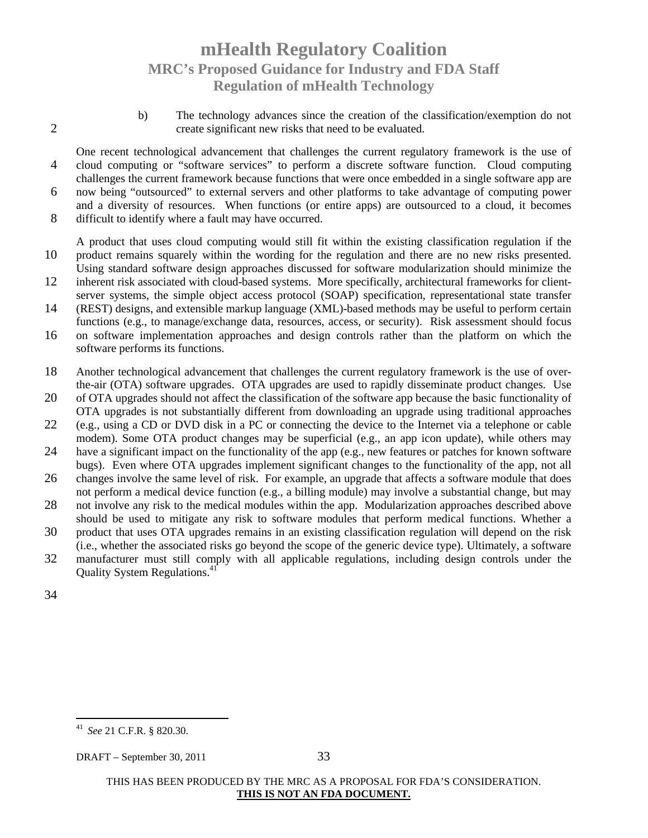b) The technology advances since the creation of the classification/exemption do not 2 create significant new risks that need to be evaluated.

One recent technological advancement that challenges the current regulatory framework is the use of 4 cloud computing or "software services" to perform a discrete software function. Cloud computing challenges the current framework because functions that were once embedded in a single software app are

- 6 now being "outsourced" to external servers and other platforms to take advantage of computing power and a diversity of resources. When functions (or entire apps) are outsourced to a cloud, it becomes
- 8 difficult to identify where a fault may have occurred.

A product that uses cloud computing would still fit within the existing classification regulation if the 10 product remains squarely within the wording for the regulation and there are no new risks presented. Using standard software design approaches discussed for software modularization should minimize the

- 12 inherent risk associated with cloud-based systems. More specifically, architectural frameworks for clientserver systems, the simple object access protocol (SOAP) specification, representational state transfer
- 14 (REST) designs, and extensible markup language (XML)-based methods may be useful to perform certain functions (e.g., to manage/exchange data, resources, access, or security). Risk assessment should focus
- 16 on software implementation approaches and design controls rather than the platform on which the software performs its functions.
- 18 Another technological advancement that challenges the current regulatory framework is the use of overthe-air (OTA) software upgrades. OTA upgrades are used to rapidly disseminate product changes. Use
- 20 of OTA upgrades should not affect the classification of the software app because the basic functionality of OTA upgrades is not substantially different from downloading an upgrade using traditional approaches
- 22 (e.g., using a CD or DVD disk in a PC or connecting the device to the Internet via a telephone or cable modem). Some OTA product changes may be superficial (e.g., an app icon update), while others may
- 24 have a significant impact on the functionality of the app (e.g., new features or patches for known software bugs). Even where OTA upgrades implement significant changes to the functionality of the app, not all
- 26 changes involve the same level of risk. For example, an upgrade that affects a software module that does not perform a medical device function (e.g., a billing module) may involve a substantial change, but may
- 28 not involve any risk to the medical modules within the app. Modularization approaches described above should be used to mitigate any risk to software modules that perform medical functions. Whether a
- 30 product that uses OTA upgrades remains in an existing classification regulation will depend on the risk (i.e., whether the associated risks go beyond the scope of the generic device type). Ultimately, a software
- 32 manufacturer must still comply with all applicable regulations, including design controls under the Quality System Regulations.<sup>41</sup>
- 34

<sup>41</sup> *See* 21 C.F.R. § 820.30.

DRAFT – September 30, 2011 33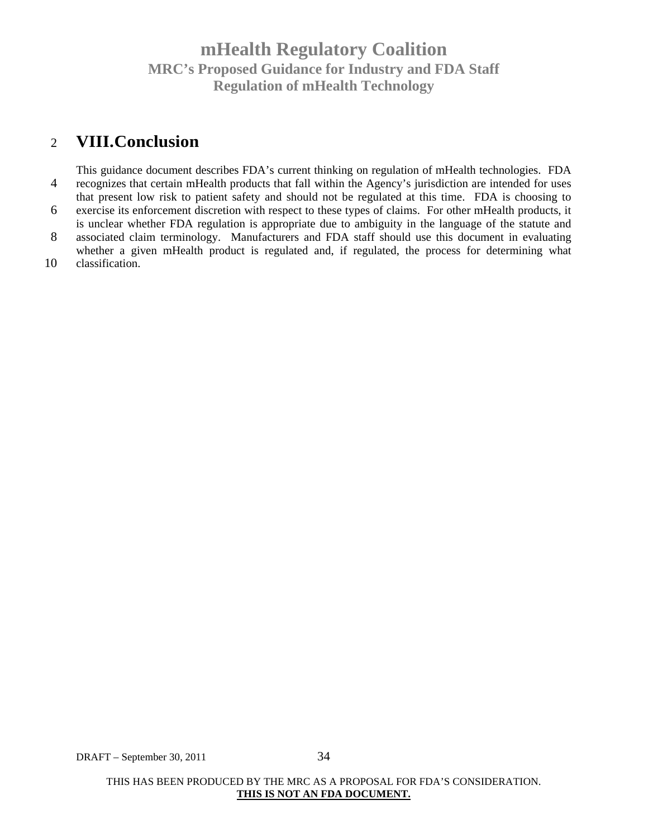### 2 **VIII.Conclusion**

This guidance document describes FDA's current thinking on regulation of mHealth technologies. FDA 4 recognizes that certain mHealth products that fall within the Agency's jurisdiction are intended for uses that present low risk to patient safety and should not be regulated at this time. FDA is choosing to 6 exercise its enforcement discretion with respect to these types of claims. For other mHealth products, it is unclear whether FDA regulation is appropriate due to ambiguity in the language of the statute and 8 associated claim terminology. Manufacturers and FDA staff should use this document in evaluating whether a given mHealth product is regulated and, if regulated, the process for determining what 10 classification.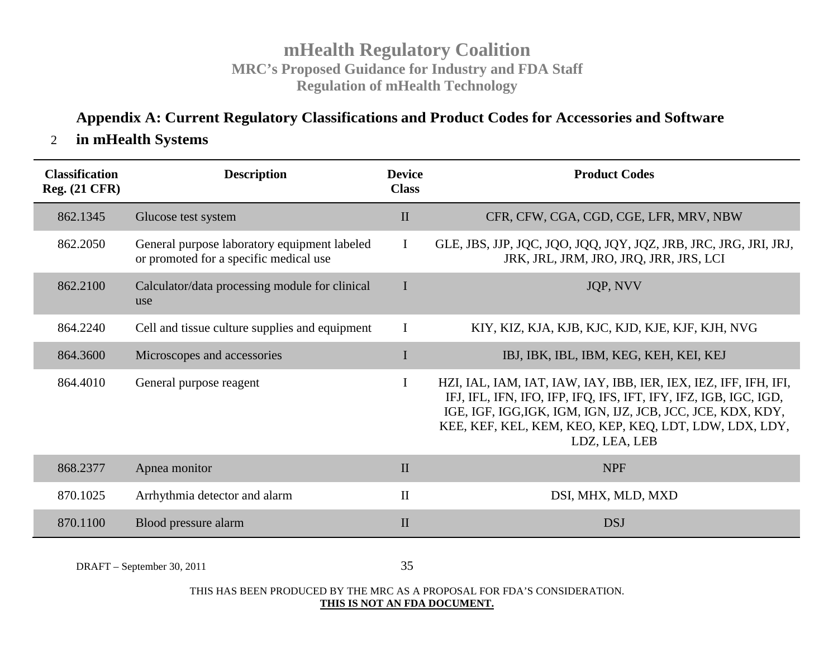### **Appendix A: Current Regulatory Classifications and Product Codes for Accessories and Software**

### 2 **in mHealth Systems**

| <b>Classification</b><br><b>Reg.</b> (21 CFR) | <b>Description</b>                                                                     | <b>Device</b><br><b>Class</b> | <b>Product Codes</b>                                                                                                                                                                                                                                                           |
|-----------------------------------------------|----------------------------------------------------------------------------------------|-------------------------------|--------------------------------------------------------------------------------------------------------------------------------------------------------------------------------------------------------------------------------------------------------------------------------|
| 862.1345                                      | Glucose test system                                                                    | $\mathbf{I}$                  | CFR, CFW, CGA, CGD, CGE, LFR, MRV, NBW                                                                                                                                                                                                                                         |
| 862.2050                                      | General purpose laboratory equipment labeled<br>or promoted for a specific medical use | $\mathbf I$                   | GLE, JBS, JJP, JQC, JQO, JQQ, JQY, JQZ, JRB, JRC, JRG, JRI, JRJ,<br>JRK, JRL, JRM, JRO, JRQ, JRR, JRS, LCI                                                                                                                                                                     |
| 862.2100                                      | Calculator/data processing module for clinical<br>use                                  | I                             | JQP, NVV                                                                                                                                                                                                                                                                       |
| 864.2240                                      | Cell and tissue culture supplies and equipment                                         | I                             | KIY, KIZ, KJA, KJB, KJC, KJD, KJE, KJF, KJH, NVG                                                                                                                                                                                                                               |
| 864.3600                                      | Microscopes and accessories                                                            | I                             | IBJ, IBK, IBL, IBM, KEG, KEH, KEI, KEJ                                                                                                                                                                                                                                         |
| 864.4010                                      | General purpose reagent                                                                | $\mathbf I$                   | HZI, IAL, IAM, IAT, IAW, IAY, IBB, IER, IEX, IEZ, IFF, IFH, IFI,<br>IFJ, IFL, IFN, IFO, IFP, IFQ, IFS, IFT, IFY, IFZ, IGB, IGC, IGD,<br>IGE, IGF, IGG, IGK, IGM, IGN, IJZ, JCB, JCC, JCE, KDX, KDY,<br>KEE, KEF, KEL, KEM, KEO, KEP, KEQ, LDT, LDW, LDX, LDY,<br>LDZ, LEA, LEB |
| 868.2377                                      | Apnea monitor                                                                          | $\mathbf{I}$                  | <b>NPF</b>                                                                                                                                                                                                                                                                     |
| 870.1025                                      | Arrhythmia detector and alarm                                                          | $\rm II$                      | DSI, MHX, MLD, MXD                                                                                                                                                                                                                                                             |
| 870.1100                                      | Blood pressure alarm                                                                   | $\mathbf{I}$                  | <b>DSJ</b>                                                                                                                                                                                                                                                                     |

DRAFT – September 30, 2011 35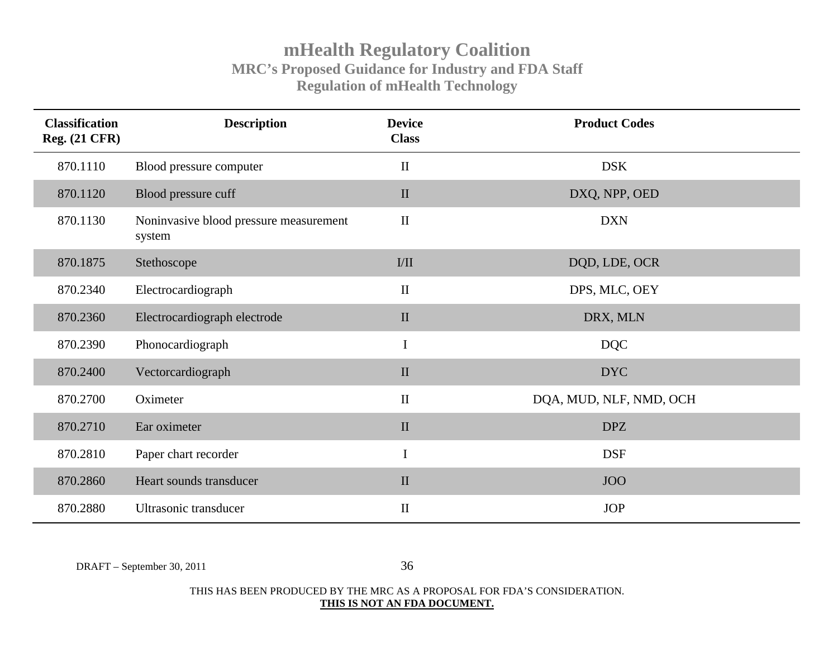| <b>Classification</b><br><b>Reg. (21 CFR)</b> | <b>Description</b>                               | <b>Device</b><br><b>Class</b> | <b>Product Codes</b>    |
|-----------------------------------------------|--------------------------------------------------|-------------------------------|-------------------------|
| 870.1110                                      | Blood pressure computer                          | $\mathbf{I}$                  | <b>DSK</b>              |
| 870.1120                                      | Blood pressure cuff                              | $\mathbf{I}$                  | DXQ, NPP, OED           |
| 870.1130                                      | Noninvasive blood pressure measurement<br>system | $\mathbf{I}$                  | <b>DXN</b>              |
| 870.1875                                      | Stethoscope                                      | I/II                          | DQD, LDE, OCR           |
| 870.2340                                      | Electrocardiograph                               | $\mathbf{I}$                  | DPS, MLC, OEY           |
| 870.2360                                      | Electrocardiograph electrode                     | $\mathbf{I}$                  | DRX, MLN                |
| 870.2390                                      | Phonocardiograph                                 | $\mathbf I$                   | <b>DQC</b>              |
| 870.2400                                      | Vectorcardiograph                                | $\mathbf{I}$                  | <b>DYC</b>              |
| 870.2700                                      | Oximeter                                         | $\mathbf{I}$                  | DQA, MUD, NLF, NMD, OCH |
| 870.2710                                      | Ear oximeter                                     | $\mathbf{I}$                  | <b>DPZ</b>              |
| 870.2810                                      | Paper chart recorder                             | $\mathbf I$                   | <b>DSF</b>              |
| 870.2860                                      | Heart sounds transducer                          | $\mathbf{I}$                  | <b>JOO</b>              |
| 870.2880                                      | Ultrasonic transducer                            | $\mathbf{I}$                  | <b>JOP</b>              |

DRAFT – September 30, 2011 36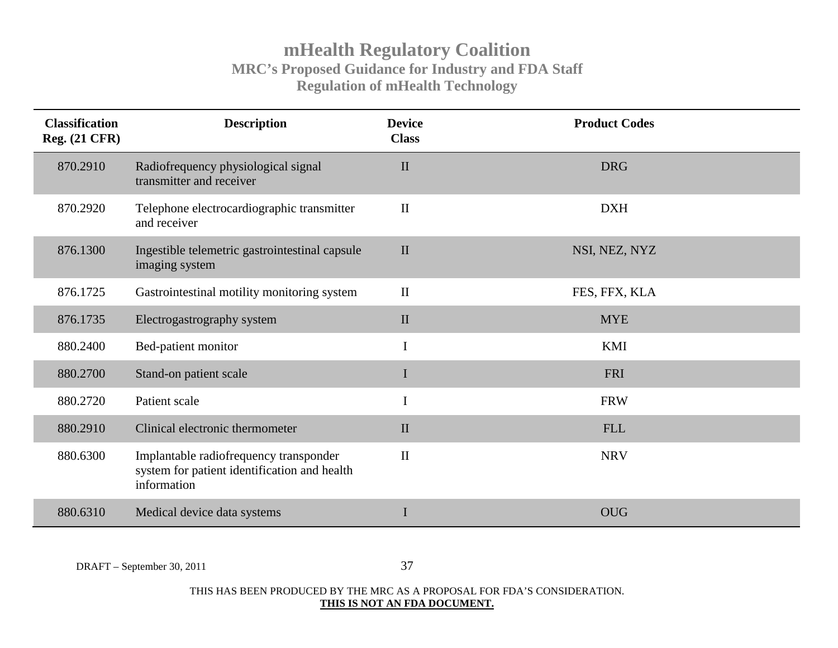| <b>Classification</b><br><b>Reg.</b> (21 CFR) | <b>Description</b>                                                                                    | <b>Device</b><br><b>Class</b> | <b>Product Codes</b> |
|-----------------------------------------------|-------------------------------------------------------------------------------------------------------|-------------------------------|----------------------|
| 870.2910                                      | Radiofrequency physiological signal<br>transmitter and receiver                                       | $\mathbf{I}$                  | <b>DRG</b>           |
| 870.2920                                      | Telephone electrocardiographic transmitter<br>and receiver                                            | $\mathbf{I}$                  | <b>DXH</b>           |
| 876.1300                                      | Ingestible telemetric gastrointestinal capsule<br>imaging system                                      | $\mathbf{I}$                  | NSI, NEZ, NYZ        |
| 876.1725                                      | Gastrointestinal motility monitoring system                                                           | $\mathbf{I}$                  | FES, FFX, KLA        |
| 876.1735                                      | Electrogastrography system                                                                            | $\mathbf{I}$                  | <b>MYE</b>           |
| 880.2400                                      | Bed-patient monitor                                                                                   | $\mathbf I$                   | <b>KMI</b>           |
| 880.2700                                      | Stand-on patient scale                                                                                | I                             | <b>FRI</b>           |
| 880.2720                                      | Patient scale                                                                                         | $\bf I$                       | <b>FRW</b>           |
| 880.2910                                      | Clinical electronic thermometer                                                                       | $\mathbf{I}$                  | <b>FLL</b>           |
| 880.6300                                      | Implantable radiofrequency transponder<br>system for patient identification and health<br>information | $\mathbf{I}$                  | <b>NRV</b>           |
| 880.6310                                      | Medical device data systems                                                                           |                               | <b>OUG</b>           |

DRAFT – September 30, 2011 37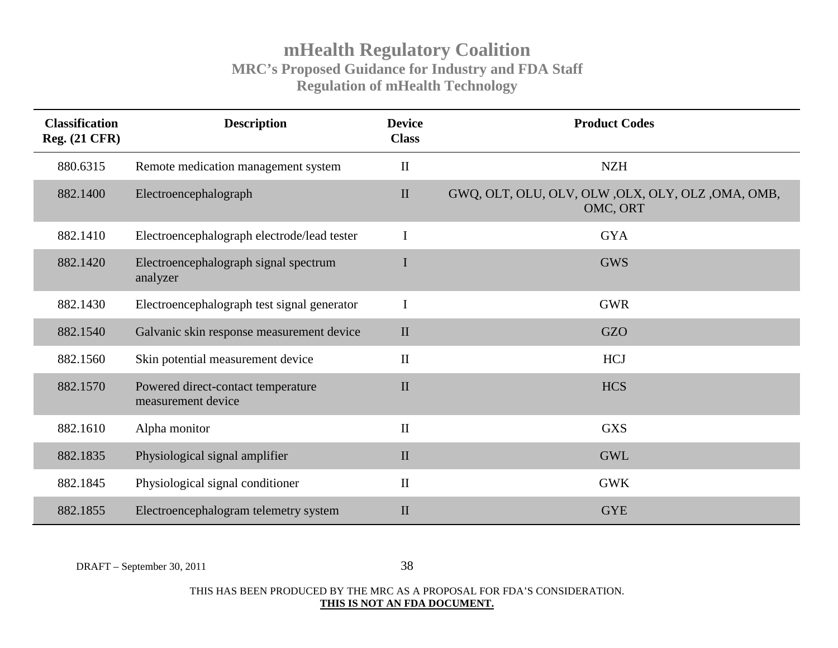| <b>Classification</b><br><b>Reg.</b> (21 CFR) | <b>Description</b>                                       | <b>Device</b><br><b>Class</b> | <b>Product Codes</b>                                            |
|-----------------------------------------------|----------------------------------------------------------|-------------------------------|-----------------------------------------------------------------|
| 880.6315                                      | Remote medication management system                      | $\mathbf{I}$                  | <b>NZH</b>                                                      |
| 882.1400                                      | Electroencephalograph                                    | $\mathbf{I}$                  | GWQ, OLT, OLU, OLV, OLW , OLX, OLY, OLZ , OMA, OMB,<br>OMC, ORT |
| 882.1410                                      | Electroencephalograph electrode/lead tester              | $\mathbf I$                   | <b>GYA</b>                                                      |
| 882.1420                                      | Electroencephalograph signal spectrum<br>analyzer        | I                             | <b>GWS</b>                                                      |
| 882.1430                                      | Electroencephalograph test signal generator              | $\mathbf I$                   | <b>GWR</b>                                                      |
| 882.1540                                      | Galvanic skin response measurement device                | $\mathbf{I}$                  | <b>GZO</b>                                                      |
| 882.1560                                      | Skin potential measurement device                        | $\mathbf{I}$                  | <b>HCJ</b>                                                      |
| 882.1570                                      | Powered direct-contact temperature<br>measurement device | $\mathbf{I}$                  | <b>HCS</b>                                                      |
| 882.1610                                      | Alpha monitor                                            | $\mathbf{I}$                  | <b>GXS</b>                                                      |
| 882.1835                                      | Physiological signal amplifier                           | $\prod$                       | <b>GWL</b>                                                      |
| 882.1845                                      | Physiological signal conditioner                         | $\mathbf{I}$                  | <b>GWK</b>                                                      |
| 882.1855                                      | Electroencephalogram telemetry system                    | $\mathbf{I}$                  | <b>GYE</b>                                                      |

DRAFT – September 30, 2011 38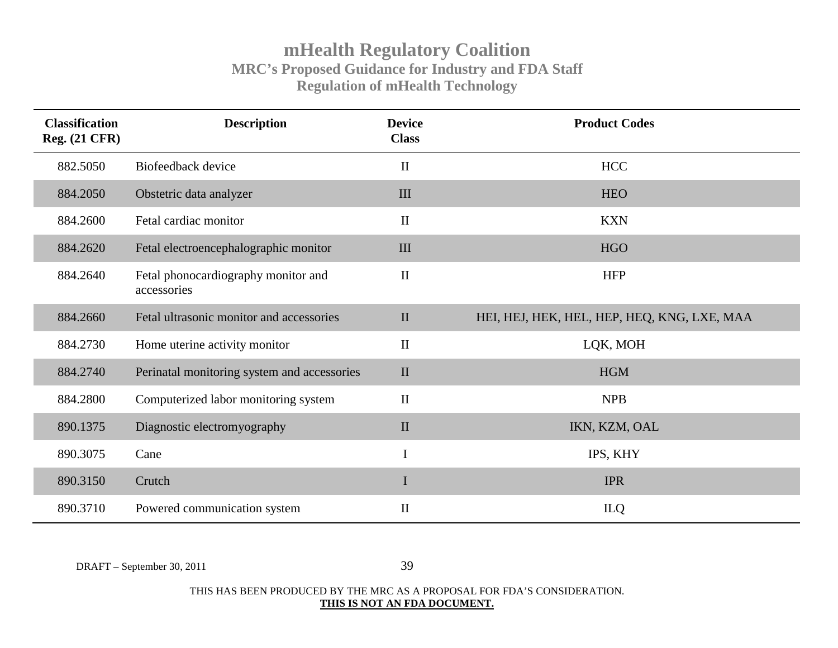| <b>Classification</b><br><b>Reg.</b> (21 CFR) | <b>Description</b>                                 | <b>Device</b><br><b>Class</b> | <b>Product Codes</b>                        |
|-----------------------------------------------|----------------------------------------------------|-------------------------------|---------------------------------------------|
| 882.5050                                      | Biofeedback device                                 | $\mathbf{I}$                  | <b>HCC</b>                                  |
| 884.2050                                      | Obstetric data analyzer                            | III                           | <b>HEO</b>                                  |
| 884.2600                                      | Fetal cardiac monitor                              | $\mathbf{I}$                  | <b>KXN</b>                                  |
| 884.2620                                      | Fetal electroencephalographic monitor              | III                           | <b>HGO</b>                                  |
| 884.2640                                      | Fetal phonocardiography monitor and<br>accessories | $\mathbf{I}$                  | <b>HFP</b>                                  |
| 884.2660                                      | Fetal ultrasonic monitor and accessories           | $\mathbf{I}$                  | HEI, HEJ, HEK, HEL, HEP, HEQ, KNG, LXE, MAA |
| 884.2730                                      | Home uterine activity monitor                      | $\mathbf{I}$                  | LQK, MOH                                    |
| 884.2740                                      | Perinatal monitoring system and accessories        | $\mathbf{I}$                  | <b>HGM</b>                                  |
| 884.2800                                      | Computerized labor monitoring system               | $\mathbf{I}$                  | <b>NPB</b>                                  |
| 890.1375                                      | Diagnostic electromyography                        | $\mathbf{I}$                  | IKN, KZM, OAL                               |
| 890.3075                                      | Cane                                               | $\mathbf I$                   | IPS, KHY                                    |
| 890.3150                                      | Crutch                                             | $\mathbf I$                   | <b>IPR</b>                                  |
| 890.3710                                      | Powered communication system                       | $\mathbf{I}$                  | ILQ                                         |

DRAFT – September 30, 2011 39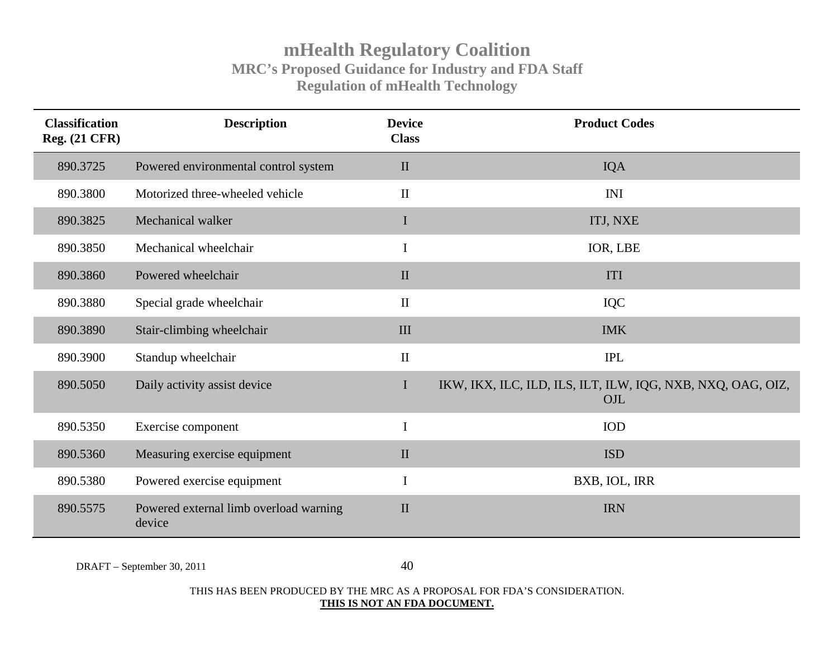| <b>Classification</b><br><b>Reg. (21 CFR)</b> | <b>Description</b>                               | <b>Device</b><br><b>Class</b> | <b>Product Codes</b>                                               |
|-----------------------------------------------|--------------------------------------------------|-------------------------------|--------------------------------------------------------------------|
| 890.3725                                      | Powered environmental control system             | $\mathbf{I}$                  | <b>IQA</b>                                                         |
| 890.3800                                      | Motorized three-wheeled vehicle                  | $\mathbf{I}$                  | <b>INI</b>                                                         |
| 890.3825                                      | Mechanical walker                                | $\bf{I}$                      | ITJ, NXE                                                           |
| 890.3850                                      | Mechanical wheelchair                            | $\mathbf I$                   | IOR, LBE                                                           |
| 890.3860                                      | Powered wheelchair                               | $\mathbf{I}$                  | ITI                                                                |
| 890.3880                                      | Special grade wheelchair                         | $\mathbf{I}$                  | IQC                                                                |
| 890.3890                                      | Stair-climbing wheelchair                        | III                           | <b>IMK</b>                                                         |
| 890.3900                                      | Standup wheelchair                               | $\mathbf{I}$                  | <b>IPL</b>                                                         |
| 890.5050                                      | Daily activity assist device                     | $\mathbf I$                   | IKW, IKX, ILC, ILD, ILS, ILT, ILW, IQG, NXB, NXQ, OAG, OIZ,<br>OJL |
| 890.5350                                      | Exercise component                               | $\bf I$                       | <b>IOD</b>                                                         |
| 890.5360                                      | Measuring exercise equipment                     | $\mathbf{I}$                  | <b>ISD</b>                                                         |
| 890.5380                                      | Powered exercise equipment                       | $\bf I$                       | BXB, IOL, IRR                                                      |
| 890.5575                                      | Powered external limb overload warning<br>device | $\mathbf{I}$                  | <b>IRN</b>                                                         |

DRAFT – September 30, 2011 40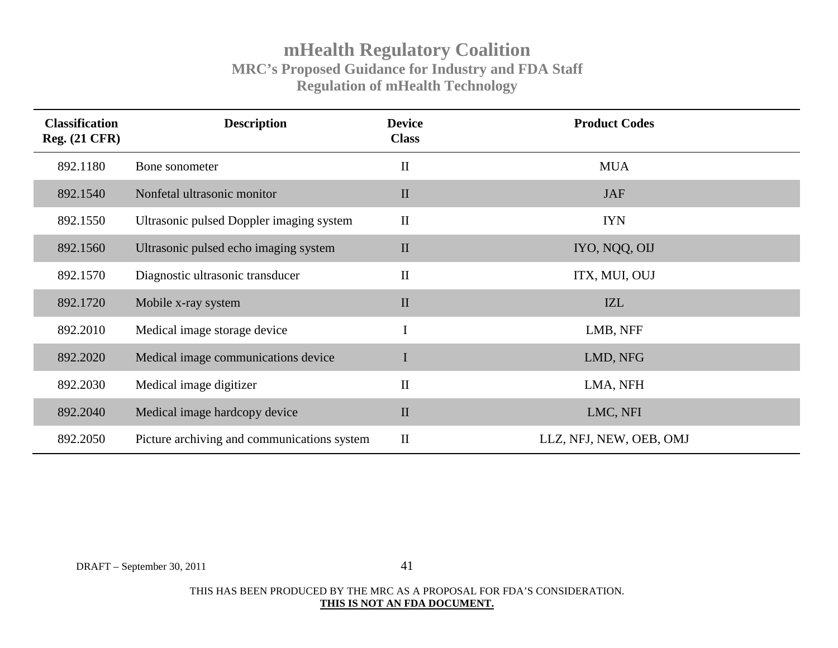| <b>Classification</b><br><b>Reg.</b> (21 CFR) | <b>Description</b>                          | <b>Device</b><br><b>Class</b> | <b>Product Codes</b>    |
|-----------------------------------------------|---------------------------------------------|-------------------------------|-------------------------|
| 892.1180                                      | Bone sonometer                              | $\mathbf{I}$                  | <b>MUA</b>              |
| 892.1540                                      | Nonfetal ultrasonic monitor                 | $\mathbf{I}$                  | <b>JAF</b>              |
| 892.1550                                      | Ultrasonic pulsed Doppler imaging system    | $\mathbf{I}$                  | <b>IYN</b>              |
| 892.1560                                      | Ultrasonic pulsed echo imaging system       | $\mathbf{I}$                  | IYO, NQQ, OIJ           |
| 892.1570                                      | Diagnostic ultrasonic transducer            | $\mathbf{I}$                  | ITX, MUI, OUJ           |
| 892.1720                                      | Mobile x-ray system                         | $\mathbf{I}$                  | IZL                     |
| 892.2010                                      | Medical image storage device                | $\mathbf I$                   | LMB, NFF                |
| 892.2020                                      | Medical image communications device         | $\mathbf I$                   | LMD, NFG                |
| 892.2030                                      | Medical image digitizer                     | $\mathbf{I}$                  | LMA, NFH                |
| 892.2040                                      | Medical image hardcopy device               | $\mathbf{I}$                  | LMC, NFI                |
| 892.2050                                      | Picture archiving and communications system | $\mathbf{I}$                  | LLZ, NFJ, NEW, OEB, OMJ |

DRAFT – September 30, 2011 41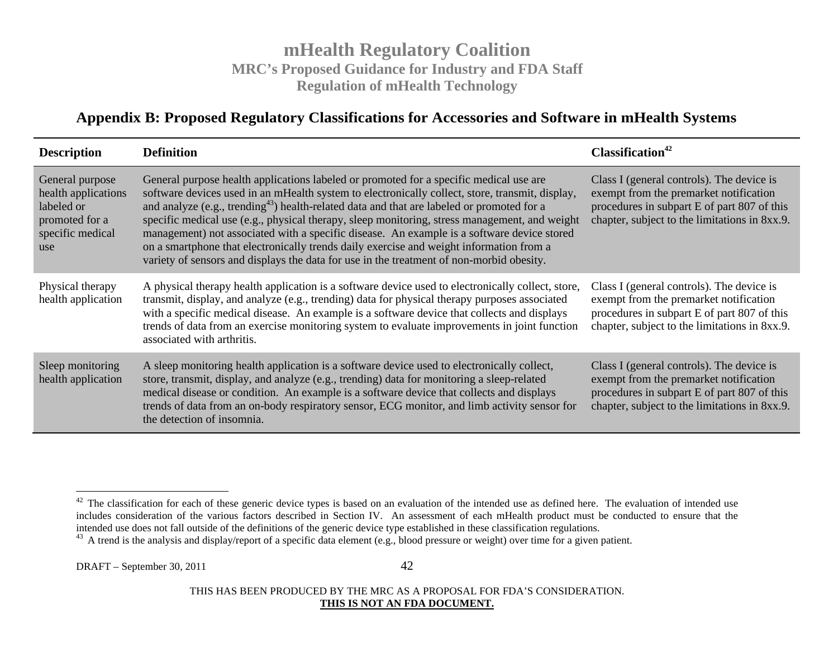### **Appendix B: Proposed Regulatory Classifications for Accessories and Software in mHealth Systems**

| <b>Description</b>                                                                                | <b>Definition</b>                                                                                                                                                                                                                                                                                                                                                                                                                                                                                                                                                                                                                                                                         | Classification <sup>42</sup>                                                                                                                                                        |
|---------------------------------------------------------------------------------------------------|-------------------------------------------------------------------------------------------------------------------------------------------------------------------------------------------------------------------------------------------------------------------------------------------------------------------------------------------------------------------------------------------------------------------------------------------------------------------------------------------------------------------------------------------------------------------------------------------------------------------------------------------------------------------------------------------|-------------------------------------------------------------------------------------------------------------------------------------------------------------------------------------|
| General purpose<br>health applications<br>labeled or<br>promoted for a<br>specific medical<br>use | General purpose health applications labeled or promoted for a specific medical use are<br>software devices used in an mHealth system to electronically collect, store, transmit, display,<br>and analyze (e.g., trending <sup>43</sup> ) health-related data and that are labeled or promoted for a<br>specific medical use (e.g., physical therapy, sleep monitoring, stress management, and weight<br>management) not associated with a specific disease. An example is a software device stored<br>on a smartphone that electronically trends daily exercise and weight information from a<br>variety of sensors and displays the data for use in the treatment of non-morbid obesity. | Class I (general controls). The device is<br>exempt from the premarket notification<br>procedures in subpart E of part 807 of this<br>chapter, subject to the limitations in 8xx.9. |
| Physical therapy<br>health application                                                            | A physical therapy health application is a software device used to electronically collect, store,<br>transmit, display, and analyze (e.g., trending) data for physical therapy purposes associated<br>with a specific medical disease. An example is a software device that collects and displays<br>trends of data from an exercise monitoring system to evaluate improvements in joint function<br>associated with arthritis.                                                                                                                                                                                                                                                           | Class I (general controls). The device is<br>exempt from the premarket notification<br>procedures in subpart E of part 807 of this<br>chapter, subject to the limitations in 8xx.9. |
| Sleep monitoring<br>health application                                                            | A sleep monitoring health application is a software device used to electronically collect,<br>store, transmit, display, and analyze (e.g., trending) data for monitoring a sleep-related<br>medical disease or condition. An example is a software device that collects and displays<br>trends of data from an on-body respiratory sensor, ECG monitor, and limb activity sensor for<br>the detection of insomnia.                                                                                                                                                                                                                                                                        | Class I (general controls). The device is<br>exempt from the premarket notification<br>procedures in subpart E of part 807 of this<br>chapter, subject to the limitations in 8xx.9. |

DRAFT – September 30, 2011 42

 $42$  The classification for each of these generic device types is based on an evaluation of the intended use as defined here. The evaluation of intended use includes consideration of the various factors described in Section IV. An assessment of each mHealth product must be conducted to ensure that the intended use does not fall outside of the definitions of the generic device type established in these classification regulations.

<sup>&</sup>lt;sup>43</sup> A trend is the analysis and display/report of a specific data element (e.g., blood pressure or weight) over time for a given patient.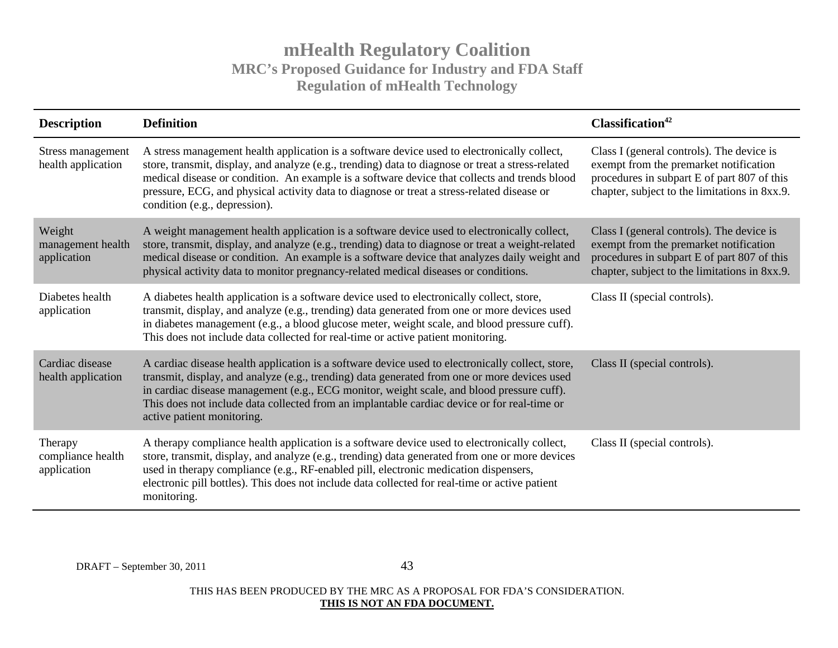| <b>Description</b>                          | <b>Definition</b>                                                                                                                                                                                                                                                                                                                                                                                                               | Classification <sup>42</sup>                                                                                                                                                        |
|---------------------------------------------|---------------------------------------------------------------------------------------------------------------------------------------------------------------------------------------------------------------------------------------------------------------------------------------------------------------------------------------------------------------------------------------------------------------------------------|-------------------------------------------------------------------------------------------------------------------------------------------------------------------------------------|
| Stress management<br>health application     | A stress management health application is a software device used to electronically collect,<br>store, transmit, display, and analyze (e.g., trending) data to diagnose or treat a stress-related<br>medical disease or condition. An example is a software device that collects and trends blood<br>pressure, ECG, and physical activity data to diagnose or treat a stress-related disease or<br>condition (e.g., depression). | Class I (general controls). The device is<br>exempt from the premarket notification<br>procedures in subpart E of part 807 of this<br>chapter, subject to the limitations in 8xx.9. |
| Weight<br>management health<br>application  | A weight management health application is a software device used to electronically collect,<br>store, transmit, display, and analyze (e.g., trending) data to diagnose or treat a weight-related<br>medical disease or condition. An example is a software device that analyzes daily weight and<br>physical activity data to monitor pregnancy-related medical diseases or conditions.                                         | Class I (general controls). The device is<br>exempt from the premarket notification<br>procedures in subpart E of part 807 of this<br>chapter, subject to the limitations in 8xx.9. |
| Diabetes health<br>application              | A diabetes health application is a software device used to electronically collect, store,<br>transmit, display, and analyze (e.g., trending) data generated from one or more devices used<br>in diabetes management (e.g., a blood glucose meter, weight scale, and blood pressure cuff).<br>This does not include data collected for real-time or active patient monitoring.                                                   | Class II (special controls).                                                                                                                                                        |
| Cardiac disease<br>health application       | A cardiac disease health application is a software device used to electronically collect, store,<br>transmit, display, and analyze (e.g., trending) data generated from one or more devices used<br>in cardiac disease management (e.g., ECG monitor, weight scale, and blood pressure cuff).<br>This does not include data collected from an implantable cardiac device or for real-time or<br>active patient monitoring.      | Class II (special controls).                                                                                                                                                        |
| Therapy<br>compliance health<br>application | A therapy compliance health application is a software device used to electronically collect,<br>store, transmit, display, and analyze (e.g., trending) data generated from one or more devices<br>used in therapy compliance (e.g., RF-enabled pill, electronic medication dispensers,<br>electronic pill bottles). This does not include data collected for real-time or active patient<br>monitoring.                         | Class II (special controls).                                                                                                                                                        |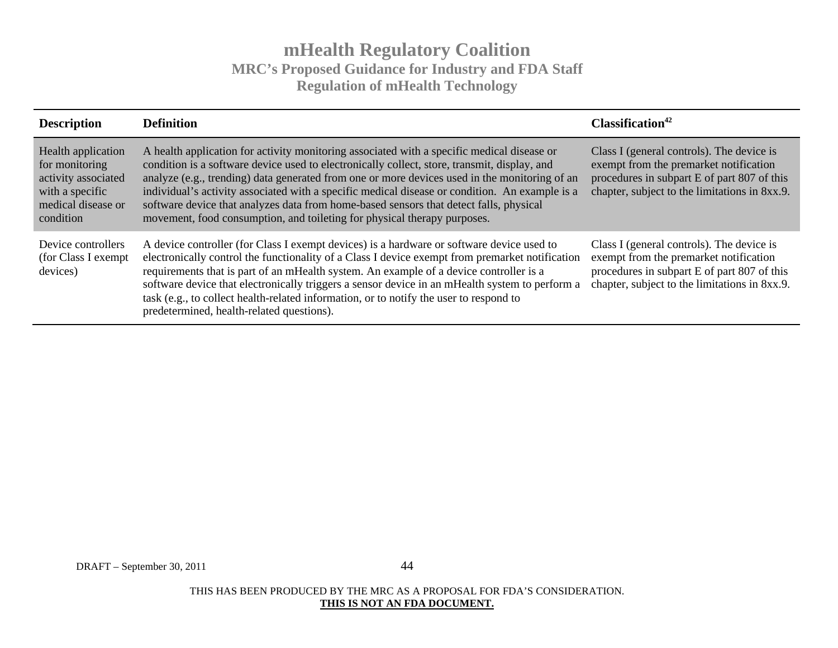| <b>Description</b>                                                                                                | <b>Definition</b>                                                                                                                                                                                                                                                                                                                                                                                                                                                                                                                                                   | Classification <sup>42</sup>                                                                                                                                                        |
|-------------------------------------------------------------------------------------------------------------------|---------------------------------------------------------------------------------------------------------------------------------------------------------------------------------------------------------------------------------------------------------------------------------------------------------------------------------------------------------------------------------------------------------------------------------------------------------------------------------------------------------------------------------------------------------------------|-------------------------------------------------------------------------------------------------------------------------------------------------------------------------------------|
| Health application<br>for monitoring<br>activity associated<br>with a specific<br>medical disease or<br>condition | A health application for activity monitoring associated with a specific medical disease or<br>condition is a software device used to electronically collect, store, transmit, display, and<br>analyze (e.g., trending) data generated from one or more devices used in the monitoring of an<br>individual's activity associated with a specific medical disease or condition. An example is a<br>software device that analyzes data from home-based sensors that detect falls, physical<br>movement, food consumption, and toileting for physical therapy purposes. | Class I (general controls). The device is<br>exempt from the premarket notification<br>procedures in subpart E of part 807 of this<br>chapter, subject to the limitations in 8xx.9. |
| Device controllers<br>(for Class I exempt)<br>devices)                                                            | A device controller (for Class I exempt devices) is a hardware or software device used to<br>electronically control the functionality of a Class I device exempt from premarket notification<br>requirements that is part of an mHealth system. An example of a device controller is a<br>software device that electronically triggers a sensor device in an mHealth system to perform a<br>task (e.g., to collect health-related information, or to notify the user to respond to<br>predetermined, health-related questions).                                     | Class I (general controls). The device is<br>exempt from the premarket notification<br>procedures in subpart E of part 807 of this<br>chapter, subject to the limitations in 8xx.9. |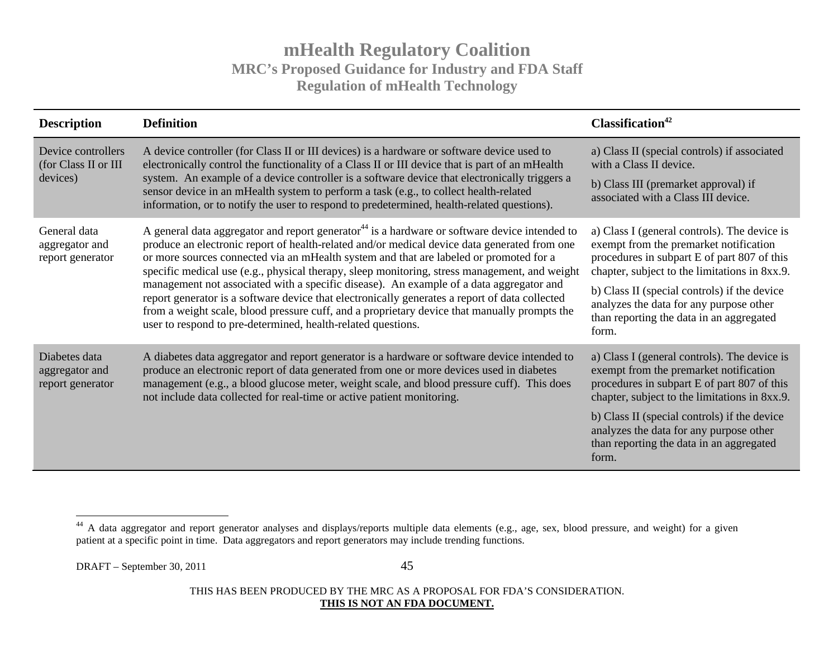| <b>Description</b>                                     | <b>Definition</b>                                                                                                                                                                                                                                                                                                                                                                                                                                                                                                                                                                                                                                                                                                                                                 | Classification <sup>42</sup>                                                                                                                                                                                                                                                                                                           |
|--------------------------------------------------------|-------------------------------------------------------------------------------------------------------------------------------------------------------------------------------------------------------------------------------------------------------------------------------------------------------------------------------------------------------------------------------------------------------------------------------------------------------------------------------------------------------------------------------------------------------------------------------------------------------------------------------------------------------------------------------------------------------------------------------------------------------------------|----------------------------------------------------------------------------------------------------------------------------------------------------------------------------------------------------------------------------------------------------------------------------------------------------------------------------------------|
| Device controllers<br>(for Class II or III<br>devices) | A device controller (for Class II or III devices) is a hardware or software device used to<br>electronically control the functionality of a Class II or III device that is part of an mHealth<br>system. An example of a device controller is a software device that electronically triggers a<br>sensor device in an mHealth system to perform a task (e.g., to collect health-related<br>information, or to notify the user to respond to predetermined, health-related questions).                                                                                                                                                                                                                                                                             | a) Class II (special controls) if associated<br>with a Class II device.<br>b) Class III (premarket approval) if<br>associated with a Class III device.                                                                                                                                                                                 |
| General data<br>aggregator and<br>report generator     | A general data aggregator and report generator <sup>44</sup> is a hardware or software device intended to<br>produce an electronic report of health-related and/or medical device data generated from one<br>or more sources connected via an mHealth system and that are labeled or promoted for a<br>specific medical use (e.g., physical therapy, sleep monitoring, stress management, and weight<br>management not associated with a specific disease). An example of a data aggregator and<br>report generator is a software device that electronically generates a report of data collected<br>from a weight scale, blood pressure cuff, and a proprietary device that manually prompts the<br>user to respond to pre-determined, health-related questions. | a) Class I (general controls). The device is<br>exempt from the premarket notification<br>procedures in subpart E of part 807 of this<br>chapter, subject to the limitations in 8xx.9.<br>b) Class II (special controls) if the device<br>analyzes the data for any purpose other<br>than reporting the data in an aggregated<br>form. |
| Diabetes data<br>aggregator and<br>report generator    | A diabetes data aggregator and report generator is a hardware or software device intended to<br>produce an electronic report of data generated from one or more devices used in diabetes<br>management (e.g., a blood glucose meter, weight scale, and blood pressure cuff). This does<br>not include data collected for real-time or active patient monitoring.                                                                                                                                                                                                                                                                                                                                                                                                  | a) Class I (general controls). The device is<br>exempt from the premarket notification<br>procedures in subpart E of part 807 of this<br>chapter, subject to the limitations in 8xx.9.<br>b) Class II (special controls) if the device<br>analyzes the data for any purpose other<br>than reporting the data in an aggregated<br>form. |

<sup>&</sup>lt;sup>44</sup> A data aggregator and report generator analyses and displays/reports multiple data elements (e.g., age, sex, blood pressure, and weight) for a given patient at a specific point in time. Data aggregators and report generators may include trending functions.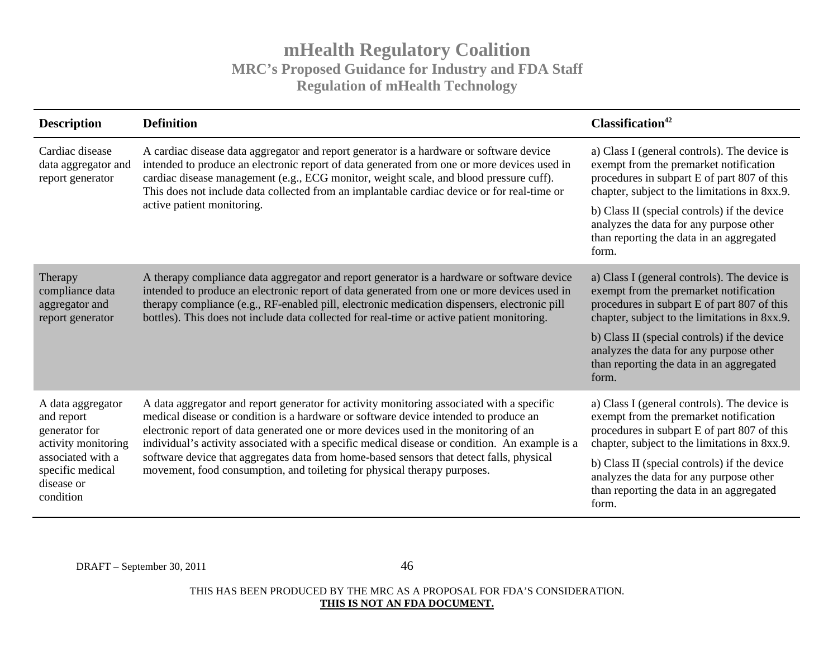| <b>Description</b>                                                                                                                          | <b>Definition</b>                                                                                                                                                                                                                                                                                                                                                                                                                                                                                                                                   | Classification <sup>42</sup>                                                                                                                                                           |
|---------------------------------------------------------------------------------------------------------------------------------------------|-----------------------------------------------------------------------------------------------------------------------------------------------------------------------------------------------------------------------------------------------------------------------------------------------------------------------------------------------------------------------------------------------------------------------------------------------------------------------------------------------------------------------------------------------------|----------------------------------------------------------------------------------------------------------------------------------------------------------------------------------------|
| Cardiac disease<br>data aggregator and<br>report generator                                                                                  | A cardiac disease data aggregator and report generator is a hardware or software device<br>intended to produce an electronic report of data generated from one or more devices used in<br>cardiac disease management (e.g., ECG monitor, weight scale, and blood pressure cuff).<br>This does not include data collected from an implantable cardiac device or for real-time or                                                                                                                                                                     | a) Class I (general controls). The device is<br>exempt from the premarket notification<br>procedures in subpart E of part 807 of this<br>chapter, subject to the limitations in 8xx.9. |
|                                                                                                                                             | active patient monitoring.                                                                                                                                                                                                                                                                                                                                                                                                                                                                                                                          | b) Class II (special controls) if the device<br>analyzes the data for any purpose other<br>than reporting the data in an aggregated<br>form.                                           |
| Therapy<br>compliance data<br>aggregator and<br>report generator                                                                            | A therapy compliance data aggregator and report generator is a hardware or software device<br>intended to produce an electronic report of data generated from one or more devices used in<br>therapy compliance (e.g., RF-enabled pill, electronic medication dispensers, electronic pill<br>bottles). This does not include data collected for real-time or active patient monitoring.                                                                                                                                                             | a) Class I (general controls). The device is<br>exempt from the premarket notification<br>procedures in subpart E of part 807 of this<br>chapter, subject to the limitations in 8xx.9. |
|                                                                                                                                             |                                                                                                                                                                                                                                                                                                                                                                                                                                                                                                                                                     | b) Class II (special controls) if the device<br>analyzes the data for any purpose other<br>than reporting the data in an aggregated<br>form.                                           |
| A data aggregator<br>and report<br>generator for<br>activity monitoring<br>associated with a<br>specific medical<br>disease or<br>condition | A data aggregator and report generator for activity monitoring associated with a specific<br>medical disease or condition is a hardware or software device intended to produce an<br>electronic report of data generated one or more devices used in the monitoring of an<br>individual's activity associated with a specific medical disease or condition. An example is a<br>software device that aggregates data from home-based sensors that detect falls, physical<br>movement, food consumption, and toileting for physical therapy purposes. | a) Class I (general controls). The device is<br>exempt from the premarket notification<br>procedures in subpart E of part 807 of this<br>chapter, subject to the limitations in 8xx.9. |
|                                                                                                                                             |                                                                                                                                                                                                                                                                                                                                                                                                                                                                                                                                                     | b) Class II (special controls) if the device<br>analyzes the data for any purpose other<br>than reporting the data in an aggregated<br>form.                                           |

DRAFT – September 30, 2011 46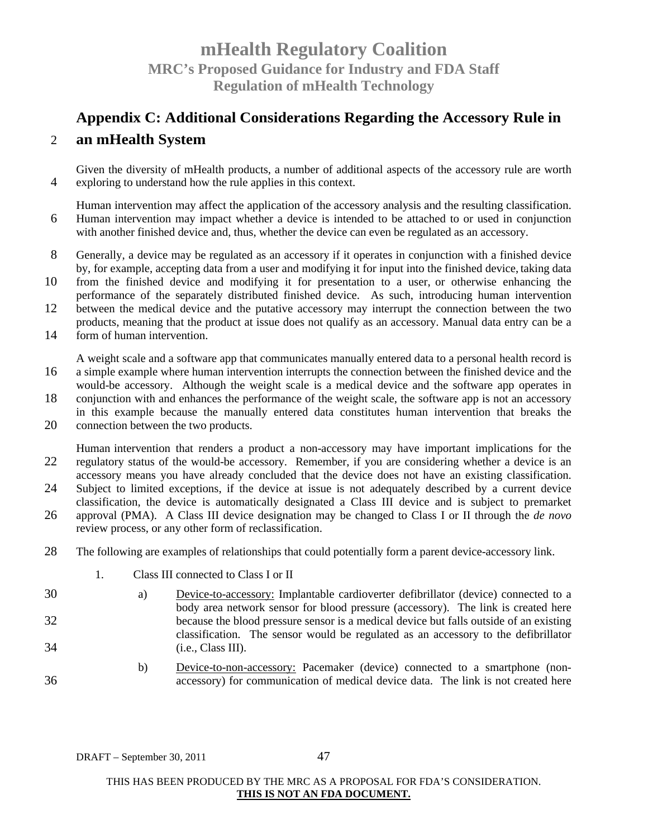# **Appendix C: Additional Considerations Regarding the Accessory Rule in**

### 2 **an mHealth System**

Given the diversity of mHealth products, a number of additional aspects of the accessory rule are worth 4 exploring to understand how the rule applies in this context.

Human intervention may affect the application of the accessory analysis and the resulting classification. 6 Human intervention may impact whether a device is intended to be attached to or used in conjunction with another finished device and, thus, whether the device can even be regulated as an accessory.

- 8 Generally, a device may be regulated as an accessory if it operates in conjunction with a finished device by, for example, accepting data from a user and modifying it for input into the finished device, taking data
- 10 from the finished device and modifying it for presentation to a user, or otherwise enhancing the performance of the separately distributed finished device. As such, introducing human intervention
- 12 between the medical device and the putative accessory may interrupt the connection between the two products, meaning that the product at issue does not qualify as an accessory. Manual data entry can be a
- 14 form of human intervention.

A weight scale and a software app that communicates manually entered data to a personal health record is 16 a simple example where human intervention interrupts the connection between the finished device and the would-be accessory. Although the weight scale is a medical device and the software app operates in

- 18 conjunction with and enhances the performance of the weight scale, the software app is not an accessory in this example because the manually entered data constitutes human intervention that breaks the
- 20 connection between the two products.

Human intervention that renders a product a non-accessory may have important implications for the 22 regulatory status of the would-be accessory. Remember, if you are considering whether a device is an accessory means you have already concluded that the device does not have an existing classification.

- 24 Subject to limited exceptions, if the device at issue is not adequately described by a current device classification, the device is automatically designated a Class III device and is subject to premarket
- 26 approval (PMA). A Class III device designation may be changed to Class I or II through the *de novo* review process, or any other form of reclassification.
- 28 The following are examples of relationships that could potentially form a parent device-accessory link.
	- 1. Class III connected to Class I or II
- 30 a) Device-to-accessory: Implantable cardioverter defibrillator (device) connected to a body area network sensor for blood pressure (accessory). The link is created here 32 because the blood pressure sensor is a medical device but falls outside of an existing classification. The sensor would be regulated as an accessory to the defibrillator 34 (i.e., Class III).
- b) Device-to-non-accessory: Pacemaker (device) connected to a smartphone (non-36 accessory) for communication of medical device data. The link is not created here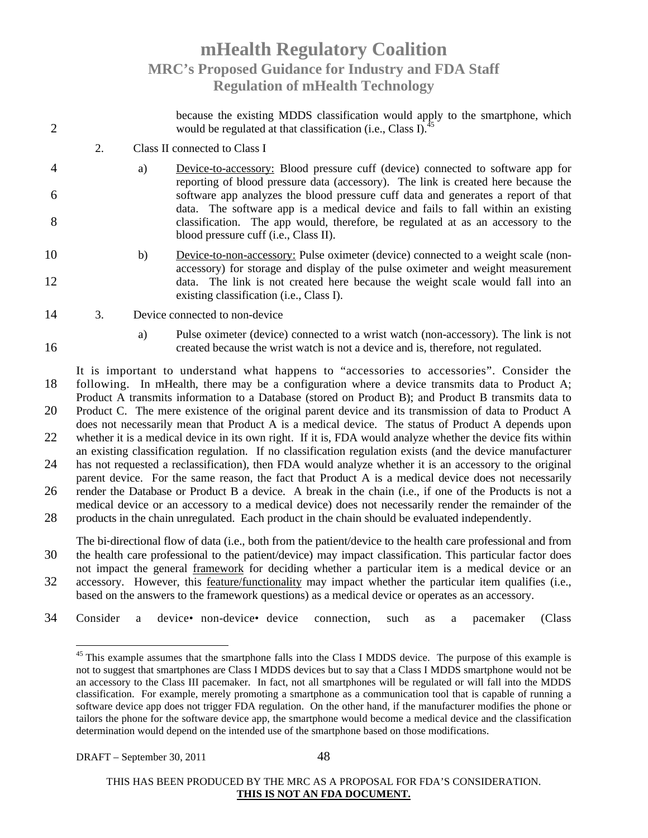because the existing MDDS classification would apply to the smartphone, which 2 would be regulated at that classification (i.e., Class I).<sup>45</sup> 2. Class II connected to Class I 4 a) Device-to-accessory: Blood pressure cuff (device) connected to software app for reporting of blood pressure data (accessory). The link is created here because the 6 software app analyzes the blood pressure cuff data and generates a report of that data. The software app is a medical device and fails to fall within an existing 8 classification. The app would, therefore, be regulated at as an accessory to the blood pressure cuff (i.e., Class II). 10 b) Device-to-non-accessory: Pulse oximeter (device) connected to a weight scale (nonaccessory) for storage and display of the pulse oximeter and weight measurement 12 data. The link is not created here because the weight scale would fall into an existing classification (i.e., Class I). 14 3. Device connected to non-device a) Pulse oximeter (device) connected to a wrist watch (non-accessory). The link is not 16 created because the wrist watch is not a device and is, therefore, not regulated. It is important to understand what happens to "accessories to accessories". Consider the 18 following. In mHealth, there may be a configuration where a device transmits data to Product A; Product A transmits information to a Database (stored on Product B); and Product B transmits data to 20 Product C. The mere existence of the original parent device and its transmission of data to Product A does not necessarily mean that Product A is a medical device. The status of Product A depends upon

22 whether it is a medical device in its own right. If it is, FDA would analyze whether the device fits within an existing classification regulation. If no classification regulation exists (and the device manufacturer 24 has not requested a reclassification), then FDA would analyze whether it is an accessory to the original parent device. For the same reason, the fact that Product A is a medical device does not necessarily

26 render the Database or Product B a device. A break in the chain (i.e., if one of the Products is not a medical device or an accessory to a medical device) does not necessarily render the remainder of the 28 products in the chain unregulated. Each product in the chain should be evaluated independently.

The bi-directional flow of data (i.e., both from the patient/device to the health care professional and from 30 the health care professional to the patient/device) may impact classification. This particular factor does not impact the general framework for deciding whether a particular item is a medical device or an

- 32 accessory. However, this feature/functionality may impact whether the particular item qualifies (i.e., based on the answers to the framework questions) as a medical device or operates as an accessory.
- 34 Consider a device•non-device•device connection, such as a pacemaker (Class

<sup>&</sup>lt;sup>45</sup> This example assumes that the smartphone falls into the Class I MDDS device. The purpose of this example is not to suggest that smartphones are Class I MDDS devices but to say that a Class I MDDS smartphone would not be an accessory to the Class III pacemaker. In fact, not all smartphones will be regulated or will fall into the MDDS classification. For example, merely promoting a smartphone as a communication tool that is capable of running a software device app does not trigger FDA regulation. On the other hand, if the manufacturer modifies the phone or tailors the phone for the software device app, the smartphone would become a medical device and the classification determination would depend on the intended use of the smartphone based on those modifications.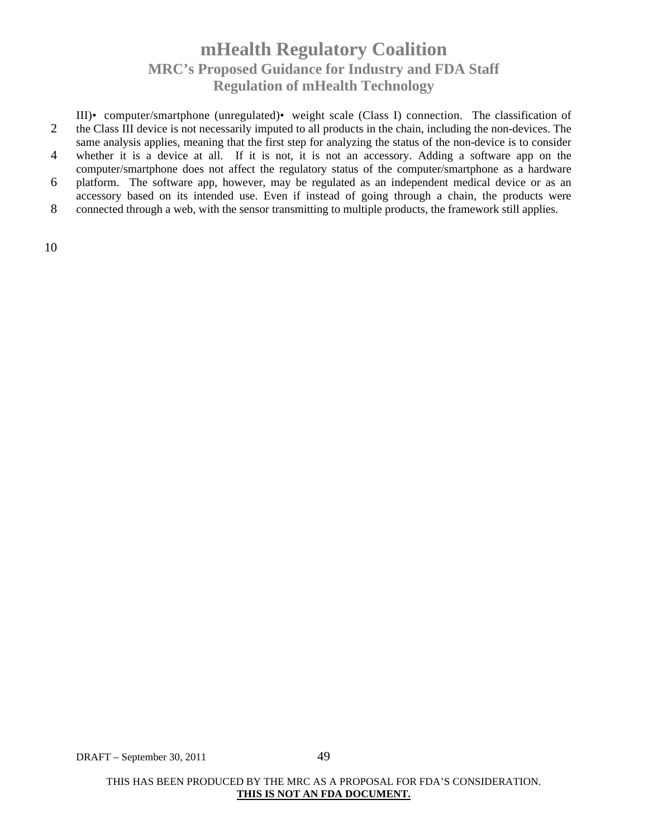III)•computer/smartphone (unregulated)•weight scale (Class I) connection. The classification of 2 the Class III device is not necessarily imputed to all products in the chain, including the non-devices. The same analysis applies, meaning that the first step for analyzing the status of the non-device is to consider 4 whether it is a device at all. If it is not, it is not an accessory. Adding a software app on the computer/smartphone does not affect the regulatory status of the computer/smartphone as a hardware 6 platform. The software app, however, may be regulated as an independent medical device or as an accessory based on its intended use. Even if instead of going through a chain, the products were 8 connected through a web, with the sensor transmitting to multiple products, the framework still applies.

10

DRAFT – September 30, 2011 49